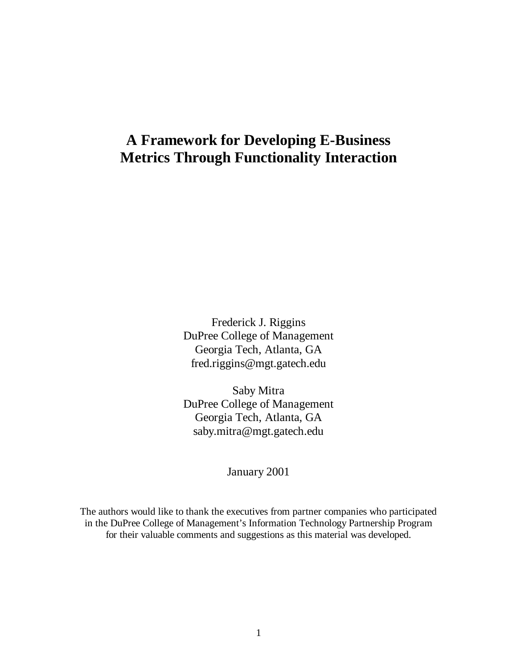# **A Framework for Developing E-Business Metrics Through Functionality Interaction**

Frederick J. Riggins DuPree College of Management Georgia Tech, Atlanta, GA fred.riggins@mgt.gatech.edu

Saby Mitra DuPree College of Management Georgia Tech, Atlanta, GA saby.mitra@mgt.gatech.edu

January 2001

The authors would like to thank the executives from partner companies who participated in the DuPree College of Management's Information Technology Partnership Program for their valuable comments and suggestions as this material was developed.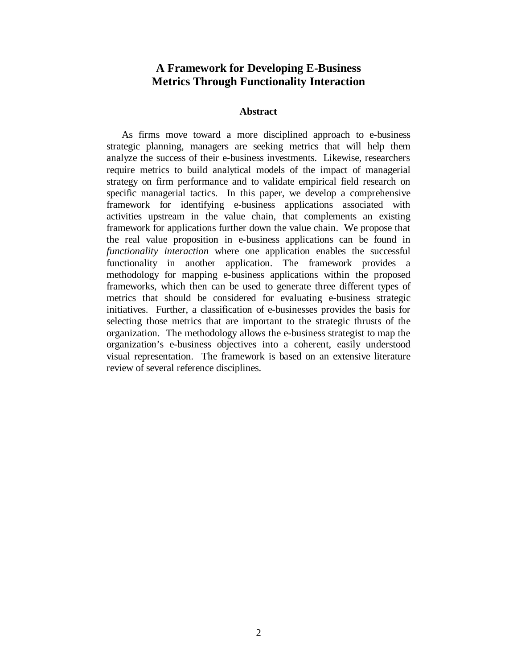## **A Framework for Developing E-Business Metrics Through Functionality Interaction**

## **Abstract**

As firms move toward a more disciplined approach to e-business strategic planning, managers are seeking metrics that will help them analyze the success of their e-business investments. Likewise, researchers require metrics to build analytical models of the impact of managerial strategy on firm performance and to validate empirical field research on specific managerial tactics. In this paper, we develop a comprehensive framework for identifying e-business applications associated with activities upstream in the value chain, that complements an existing framework for applications further down the value chain. We propose that the real value proposition in e-business applications can be found in *functionality interaction* where one application enables the successful functionality in another application. The framework provides a methodology for mapping e-business applications within the proposed frameworks, which then can be used to generate three different types of metrics that should be considered for evaluating e-business strategic initiatives. Further, a classification of e-businesses provides the basis for selecting those metrics that are important to the strategic thrusts of the organization. The methodology allows the e-business strategist to map the organization's e-business objectives into a coherent, easily understood visual representation. The framework is based on an extensive literature review of several reference disciplines.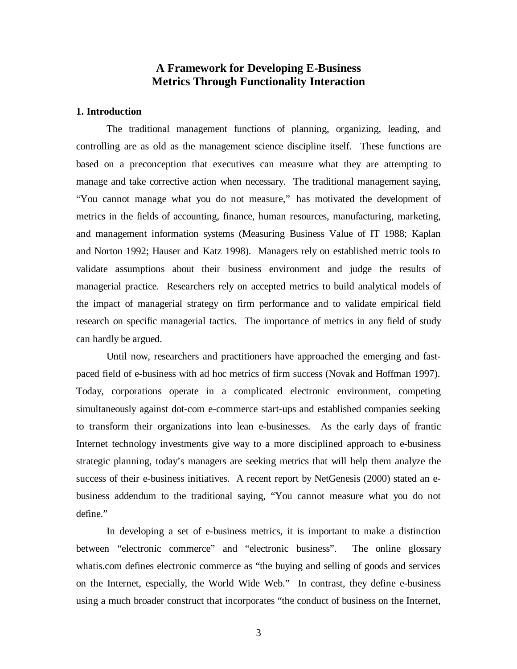# **A Framework for Developing E-Business Metrics Through Functionality Interaction**

#### **1. Introduction**

The traditional management functions of planning, organizing, leading, and controlling are as old as the management science discipline itself. These functions are based on a preconception that executives can measure what they are attempting to manage and take corrective action when necessary. The traditional management saying, "You cannot manage what you do not measure," has motivated the development of metrics in the fields of accounting, finance, human resources, manufacturing, marketing, and management information systems (Measuring Business Value of IT 1988; Kaplan and Norton 1992; Hauser and Katz 1998). Managers rely on established metric tools to validate assumptions about their business environment and judge the results of managerial practice. Researchers rely on accepted metrics to build analytical models of the impact of managerial strategy on firm performance and to validate empirical field research on specific managerial tactics. The importance of metrics in any field of study can hardly be argued.

Until now, researchers and practitioners have approached the emerging and fastpaced field of e-business with ad hoc metrics of firm success (Novak and Hoffman 1997). Today, corporations operate in a complicated electronic environment, competing simultaneously against dot-com e-commerce start-ups and established companies seeking to transform their organizations into lean e-businesses. As the early days of frantic Internet technology investments give way to a more disciplined approach to e-business strategic planning, today's managers are seeking metrics that will help them analyze the success of their e-business initiatives. A recent report by NetGenesis (2000) stated an ebusiness addendum to the traditional saying, "You cannot measure what you do not define."

In developing a set of e-business metrics, it is important to make a distinction between "electronic commerce" and "electronic business". The online glossary whatis.com defines electronic commerce as "the buying and selling of goods and services on the Internet, especially, the World Wide Web." In contrast, they define e-business using a much broader construct that incorporates "the conduct of business on the Internet,

3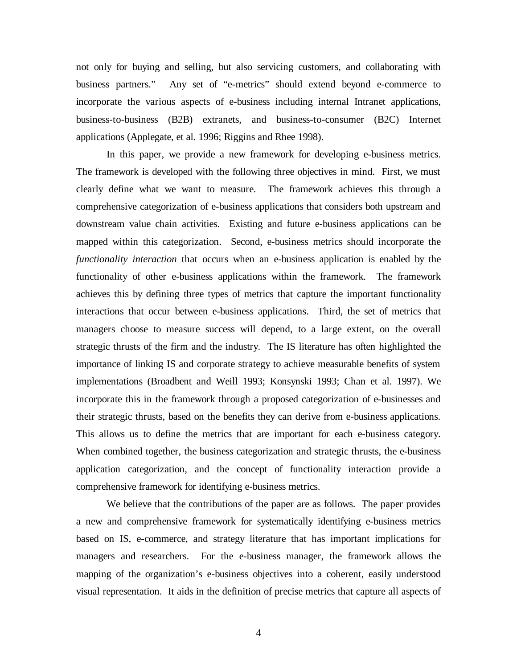not only for buying and selling, but also servicing customers, and collaborating with business partners." Any set of "e-metrics" should extend beyond e-commerce to incorporate the various aspects of e-business including internal Intranet applications, business-to-business (B2B) extranets, and business-to-consumer (B2C) Internet applications (Applegate, et al. 1996; Riggins and Rhee 1998).

In this paper, we provide a new framework for developing e-business metrics. The framework is developed with the following three objectives in mind. First, we must clearly define what we want to measure. The framework achieves this through a comprehensive categorization of e-business applications that considers both upstream and downstream value chain activities. Existing and future e-business applications can be mapped within this categorization. Second, e-business metrics should incorporate the *functionality interaction* that occurs when an e-business application is enabled by the functionality of other e-business applications within the framework. The framework achieves this by defining three types of metrics that capture the important functionality interactions that occur between e-business applications. Third, the set of metrics that managers choose to measure success will depend, to a large extent, on the overall strategic thrusts of the firm and the industry. The IS literature has often highlighted the importance of linking IS and corporate strategy to achieve measurable benefits of system implementations (Broadbent and Weill 1993; Konsynski 1993; Chan et al. 1997). We incorporate this in the framework through a proposed categorization of e-businesses and their strategic thrusts, based on the benefits they can derive from e-business applications. This allows us to define the metrics that are important for each e-business category. When combined together, the business categorization and strategic thrusts, the e-business application categorization, and the concept of functionality interaction provide a comprehensive framework for identifying e-business metrics.

We believe that the contributions of the paper are as follows. The paper provides a new and comprehensive framework for systematically identifying e-business metrics based on IS, e-commerce, and strategy literature that has important implications for managers and researchers. For the e-business manager, the framework allows the mapping of the organization's e-business objectives into a coherent, easily understood visual representation. It aids in the definition of precise metrics that capture all aspects of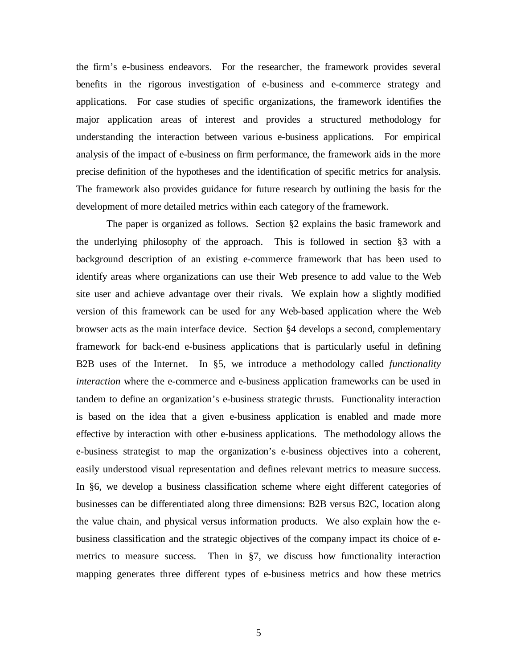the firm's e-business endeavors. For the researcher, the framework provides several benefits in the rigorous investigation of e-business and e-commerce strategy and applications. For case studies of specific organizations, the framework identifies the major application areas of interest and provides a structured methodology for understanding the interaction between various e-business applications. For empirical analysis of the impact of e-business on firm performance, the framework aids in the more precise definition of the hypotheses and the identification of specific metrics for analysis. The framework also provides guidance for future research by outlining the basis for the development of more detailed metrics within each category of the framework.

The paper is organized as follows. Section §2 explains the basic framework and the underlying philosophy of the approach. This is followed in section §3 with a background description of an existing e-commerce framework that has been used to identify areas where organizations can use their Web presence to add value to the Web site user and achieve advantage over their rivals. We explain how a slightly modified version of this framework can be used for any Web-based application where the Web browser acts as the main interface device. Section §4 develops a second, complementary framework for back-end e-business applications that is particularly useful in defining B2B uses of the Internet. In §5, we introduce a methodology called *functionality interaction* where the e-commerce and e-business application frameworks can be used in tandem to define an organization's e-business strategic thrusts. Functionality interaction is based on the idea that a given e-business application is enabled and made more effective by interaction with other e-business applications. The methodology allows the e-business strategist to map the organization's e-business objectives into a coherent, easily understood visual representation and defines relevant metrics to measure success. In §6, we develop a business classification scheme where eight different categories of businesses can be differentiated along three dimensions: B2B versus B2C, location along the value chain, and physical versus information products. We also explain how the ebusiness classification and the strategic objectives of the company impact its choice of emetrics to measure success. Then in §7, we discuss how functionality interaction mapping generates three different types of e-business metrics and how these metrics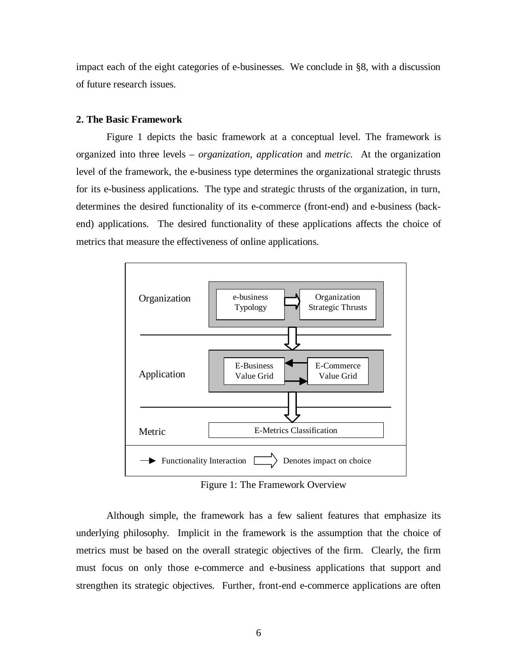impact each of the eight categories of e-businesses. We conclude in §8, with a discussion of future research issues.

#### **2. The Basic Framework**

Figure 1 depicts the basic framework at a conceptual level. The framework is organized into three levels – *organization, application* and *metric.* At the organization level of the framework, the e-business type determines the organizational strategic thrusts for its e-business applications. The type and strategic thrusts of the organization, in turn, determines the desired functionality of its e-commerce (front-end) and e-business (backend) applications. The desired functionality of these applications affects the choice of metrics that measure the effectiveness of online applications.



Figure 1: The Framework Overview

Although simple, the framework has a few salient features that emphasize its underlying philosophy. Implicit in the framework is the assumption that the choice of metrics must be based on the overall strategic objectives of the firm. Clearly, the firm must focus on only those e-commerce and e-business applications that support and strengthen its strategic objectives. Further, front-end e-commerce applications are often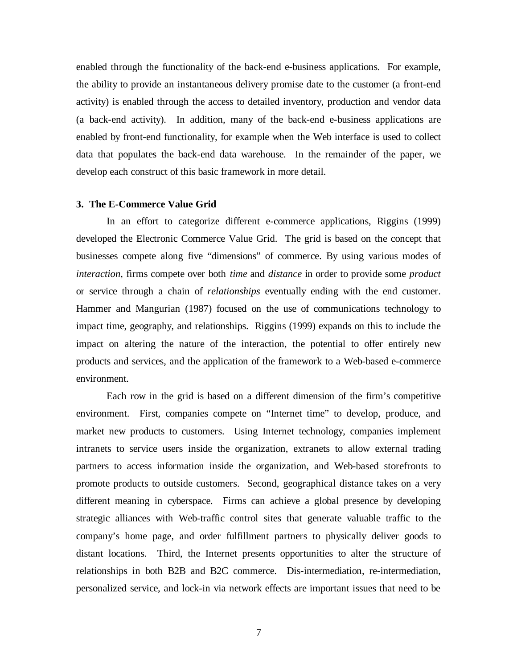enabled through the functionality of the back-end e-business applications. For example, the ability to provide an instantaneous delivery promise date to the customer (a front-end activity) is enabled through the access to detailed inventory, production and vendor data (a back-end activity). In addition, many of the back-end e-business applications are enabled by front-end functionality, for example when the Web interface is used to collect data that populates the back-end data warehouse. In the remainder of the paper, we develop each construct of this basic framework in more detail.

#### **3. The E-Commerce Value Grid**

In an effort to categorize different e-commerce applications, Riggins (1999) developed the Electronic Commerce Value Grid. The grid is based on the concept that businesses compete along five "dimensions" of commerce. By using various modes of *interaction*, firms compete over both *time* and *distance* in order to provide some *product* or service through a chain of *relationships* eventually ending with the end customer. Hammer and Mangurian (1987) focused on the use of communications technology to impact time, geography, and relationships. Riggins (1999) expands on this to include the impact on altering the nature of the interaction, the potential to offer entirely new products and services, and the application of the framework to a Web-based e-commerce environment.

Each row in the grid is based on a different dimension of the firm's competitive environment. First, companies compete on "Internet time" to develop, produce, and market new products to customers. Using Internet technology, companies implement intranets to service users inside the organization, extranets to allow external trading partners to access information inside the organization, and Web-based storefronts to promote products to outside customers. Second, geographical distance takes on a very different meaning in cyberspace. Firms can achieve a global presence by developing strategic alliances with Web-traffic control sites that generate valuable traffic to the company's home page, and order fulfillment partners to physically deliver goods to distant locations. Third, the Internet presents opportunities to alter the structure of relationships in both B2B and B2C commerce. Dis-intermediation, re-intermediation, personalized service, and lock-in via network effects are important issues that need to be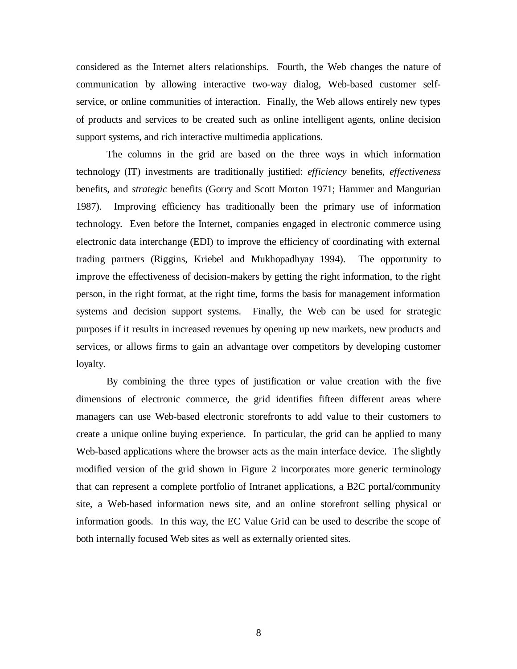considered as the Internet alters relationships. Fourth, the Web changes the nature of communication by allowing interactive two-way dialog, Web-based customer selfservice, or online communities of interaction. Finally, the Web allows entirely new types of products and services to be created such as online intelligent agents, online decision support systems, and rich interactive multimedia applications.

The columns in the grid are based on the three ways in which information technology (IT) investments are traditionally justified: *efficiency* benefits, *effectiveness* benefits, and *strategic* benefits (Gorry and Scott Morton 1971; Hammer and Mangurian 1987). Improving efficiency has traditionally been the primary use of information technology. Even before the Internet, companies engaged in electronic commerce using electronic data interchange (EDI) to improve the efficiency of coordinating with external trading partners (Riggins, Kriebel and Mukhopadhyay 1994). The opportunity to improve the effectiveness of decision-makers by getting the right information, to the right person, in the right format, at the right time, forms the basis for management information systems and decision support systems. Finally, the Web can be used for strategic purposes if it results in increased revenues by opening up new markets, new products and services, or allows firms to gain an advantage over competitors by developing customer loyalty.

By combining the three types of justification or value creation with the five dimensions of electronic commerce, the grid identifies fifteen different areas where managers can use Web-based electronic storefronts to add value to their customers to create a unique online buying experience. In particular, the grid can be applied to many Web-based applications where the browser acts as the main interface device. The slightly modified version of the grid shown in Figure 2 incorporates more generic terminology that can represent a complete portfolio of Intranet applications, a B2C portal/community site, a Web-based information news site, and an online storefront selling physical or information goods. In this way, the EC Value Grid can be used to describe the scope of both internally focused Web sites as well as externally oriented sites.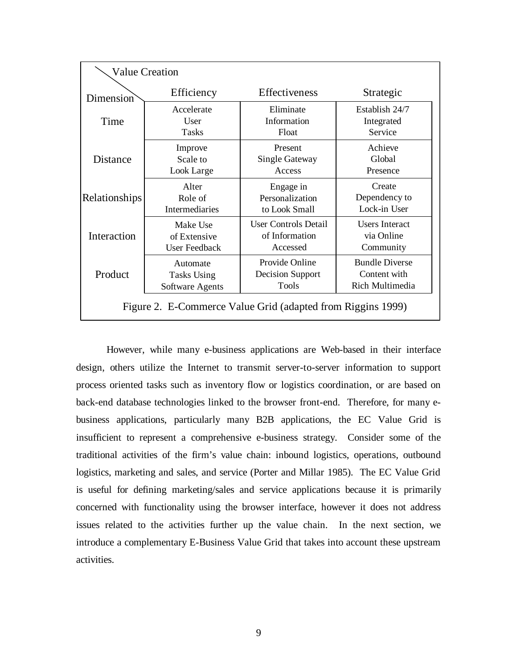| <b>Value Creation</b>                                       |                                                                                 |                             |                               |  |  |  |  |
|-------------------------------------------------------------|---------------------------------------------------------------------------------|-----------------------------|-------------------------------|--|--|--|--|
| Dimension                                                   | Efficiency                                                                      | Effectiveness               | Strategic                     |  |  |  |  |
| Time                                                        | Accelerate                                                                      | Eliminate                   | Establish 24/7                |  |  |  |  |
|                                                             | <b>User</b>                                                                     | Information                 | Integrated                    |  |  |  |  |
|                                                             | <b>Tasks</b>                                                                    | Float                       | Service                       |  |  |  |  |
| Distance                                                    | Present<br>Improve<br><b>Single Gateway</b><br>Scale to<br>Access<br>Look Large |                             | Achieve<br>Global<br>Presence |  |  |  |  |
| Relationships                                               | Alter                                                                           | Engage in                   | Create                        |  |  |  |  |
|                                                             | Role of                                                                         | Personalization             | Dependency to                 |  |  |  |  |
|                                                             | <b>Intermediaries</b>                                                           | to Look Small               | Lock-in User                  |  |  |  |  |
| Interaction                                                 | Make Use                                                                        | <b>User Controls Detail</b> | <b>Users Interact</b>         |  |  |  |  |
|                                                             | of Extensive                                                                    | of Information              | via Online                    |  |  |  |  |
|                                                             | <b>User Feedback</b>                                                            | Accessed                    | Community                     |  |  |  |  |
| Product                                                     | Automate                                                                        | Provide Online              | <b>Bundle Diverse</b>         |  |  |  |  |
|                                                             | <b>Tasks Using</b>                                                              | Decision Support            | Content with                  |  |  |  |  |
|                                                             | Software Agents                                                                 | <b>Tools</b>                | Rich Multimedia               |  |  |  |  |
| Figure 2. E-Commerce Value Grid (adapted from Riggins 1999) |                                                                                 |                             |                               |  |  |  |  |

However, while many e-business applications are Web-based in their interface design, others utilize the Internet to transmit server-to-server information to support process oriented tasks such as inventory flow or logistics coordination, or are based on back-end database technologies linked to the browser front-end. Therefore, for many ebusiness applications, particularly many B2B applications, the EC Value Grid is insufficient to represent a comprehensive e-business strategy. Consider some of the traditional activities of the firm's value chain: inbound logistics, operations, outbound logistics, marketing and sales, and service (Porter and Millar 1985). The EC Value Grid is useful for defining marketing/sales and service applications because it is primarily concerned with functionality using the browser interface, however it does not address issues related to the activities further up the value chain. In the next section, we introduce a complementary E-Business Value Grid that takes into account these upstream activities.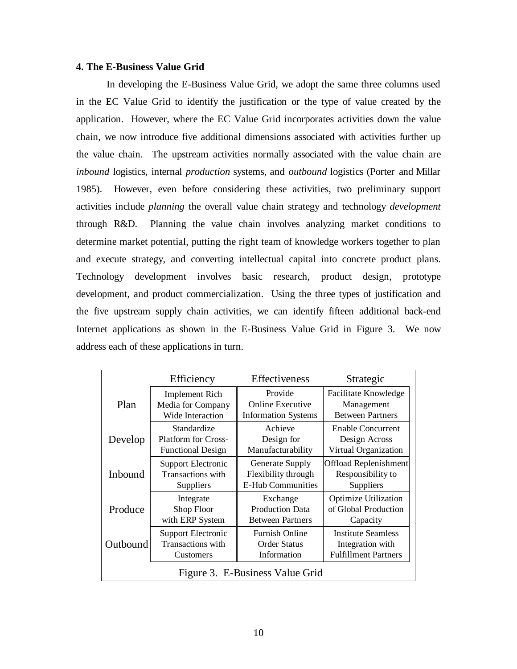## **4. The E-Business Value Grid**

In developing the E-Business Value Grid, we adopt the same three columns used in the EC Value Grid to identify the justification or the type of value created by the application. However, where the EC Value Grid incorporates activities down the value chain, we now introduce five additional dimensions associated with activities further up the value chain. The upstream activities normally associated with the value chain are *inbound* logistics, internal *production* systems, and *outbound* logistics (Porter and Millar 1985). However, even before considering these activities, two preliminary support activities include *planning* the overall value chain strategy and technology *development* through R&D. Planning the value chain involves analyzing market conditions to determine market potential, putting the right team of knowledge workers together to plan and execute strategy, and converting intellectual capital into concrete product plans. Technology development involves basic research, product design, prototype development, and product commercialization. Using the three types of justification and the five upstream supply chain activities, we can identify fifteen additional back-end Internet applications as shown in the E-Business Value Grid in Figure 3. We now address each of these applications in turn.

|                                 | Efficiency                                                            | Effectiveness                                                 | Strategic                                                                                                                                                                                            |  |  |  |
|---------------------------------|-----------------------------------------------------------------------|---------------------------------------------------------------|------------------------------------------------------------------------------------------------------------------------------------------------------------------------------------------------------|--|--|--|
| Plan                            | <b>Implement Rich</b><br>Media for Company<br>Wide Interaction        | Provide<br>Online Executive<br><b>Information Systems</b>     | <b>Facilitate Knowledge</b><br>Management<br><b>Between Partners</b><br><b>Enable Concurrent</b><br>Design Across<br>Virtual Organization<br>Offload Replenishment<br>Responsibility to<br>Suppliers |  |  |  |
| Develop                         | Standardize<br><b>Platform for Cross-</b><br><b>Functional Design</b> | Achieve<br>Design for<br>Manufacturability                    |                                                                                                                                                                                                      |  |  |  |
| Inbound                         | <b>Support Electronic</b><br>Transactions with<br>Suppliers           | Generate Supply<br>Flexibility through<br>E-Hub Communities   |                                                                                                                                                                                                      |  |  |  |
| Produce                         | Integrate<br>Shop Floor<br>with ERP System                            | Exchange<br><b>Production Data</b><br><b>Between Partners</b> | <b>Optimize Utilization</b><br>of Global Production<br>Capacity                                                                                                                                      |  |  |  |
| Outbound                        | Support Electronic<br>Transactions with<br><b>Customers</b>           | <b>Furnish Online</b><br><b>Order Status</b><br>Information   | Institute Seamless<br>Integration with<br><b>Fulfillment Partners</b>                                                                                                                                |  |  |  |
| Figure 3. E-Business Value Grid |                                                                       |                                                               |                                                                                                                                                                                                      |  |  |  |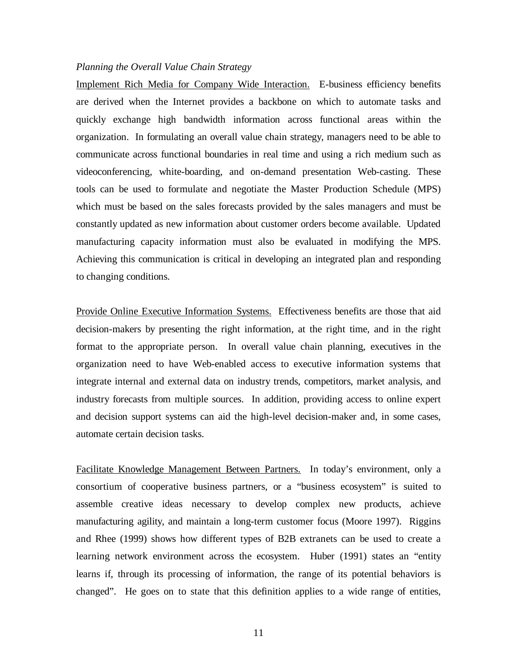#### *Planning the Overall Value Chain Strategy*

Implement Rich Media for Company Wide Interaction. E-business efficiency benefits are derived when the Internet provides a backbone on which to automate tasks and quickly exchange high bandwidth information across functional areas within the organization. In formulating an overall value chain strategy, managers need to be able to communicate across functional boundaries in real time and using a rich medium such as videoconferencing, white-boarding, and on-demand presentation Web-casting. These tools can be used to formulate and negotiate the Master Production Schedule (MPS) which must be based on the sales forecasts provided by the sales managers and must be constantly updated as new information about customer orders become available. Updated manufacturing capacity information must also be evaluated in modifying the MPS. Achieving this communication is critical in developing an integrated plan and responding to changing conditions.

Provide Online Executive Information Systems. Effectiveness benefits are those that aid decision-makers by presenting the right information, at the right time, and in the right format to the appropriate person. In overall value chain planning, executives in the organization need to have Web-enabled access to executive information systems that integrate internal and external data on industry trends, competitors, market analysis, and industry forecasts from multiple sources. In addition, providing access to online expert and decision support systems can aid the high-level decision-maker and, in some cases, automate certain decision tasks.

Facilitate Knowledge Management Between Partners. In today's environment, only a consortium of cooperative business partners, or a "business ecosystem" is suited to assemble creative ideas necessary to develop complex new products, achieve manufacturing agility, and maintain a long-term customer focus (Moore 1997). Riggins and Rhee (1999) shows how different types of B2B extranets can be used to create a learning network environment across the ecosystem. Huber (1991) states an "entity learns if, through its processing of information, the range of its potential behaviors is changed". He goes on to state that this definition applies to a wide range of entities,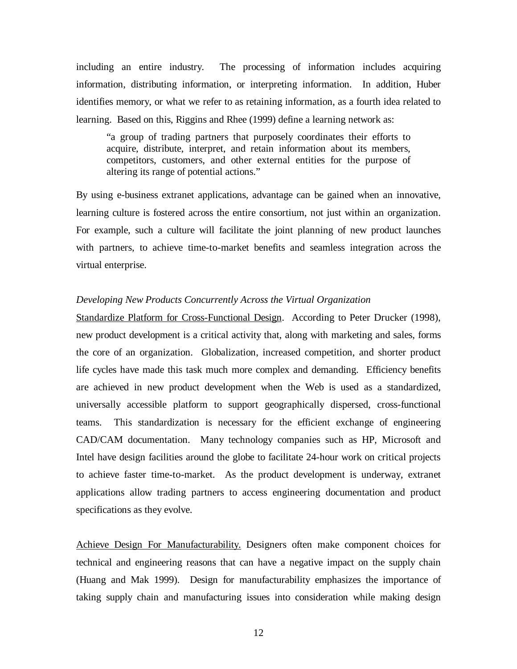including an entire industry. The processing of information includes acquiring information, distributing information, or interpreting information. In addition, Huber identifies memory, or what we refer to as retaining information, as a fourth idea related to learning. Based on this, Riggins and Rhee (1999) define a learning network as:

"a group of trading partners that purposely coordinates their efforts to acquire, distribute, interpret, and retain information about its members, competitors, customers, and other external entities for the purpose of altering its range of potential actions."

By using e-business extranet applications, advantage can be gained when an innovative, learning culture is fostered across the entire consortium, not just within an organization. For example, such a culture will facilitate the joint planning of new product launches with partners, to achieve time-to-market benefits and seamless integration across the virtual enterprise.

## *Developing New Products Concurrently Across the Virtual Organization*

Standardize Platform for Cross-Functional Design. According to Peter Drucker (1998), new product development is a critical activity that, along with marketing and sales, forms the core of an organization. Globalization, increased competition, and shorter product life cycles have made this task much more complex and demanding. Efficiency benefits are achieved in new product development when the Web is used as a standardized, universally accessible platform to support geographically dispersed, cross-functional teams. This standardization is necessary for the efficient exchange of engineering CAD/CAM documentation. Many technology companies such as HP, Microsoft and Intel have design facilities around the globe to facilitate 24-hour work on critical projects to achieve faster time-to-market. As the product development is underway, extranet applications allow trading partners to access engineering documentation and product specifications as they evolve.

Achieve Design For Manufacturability. Designers often make component choices for technical and engineering reasons that can have a negative impact on the supply chain (Huang and Mak 1999). Design for manufacturability emphasizes the importance of taking supply chain and manufacturing issues into consideration while making design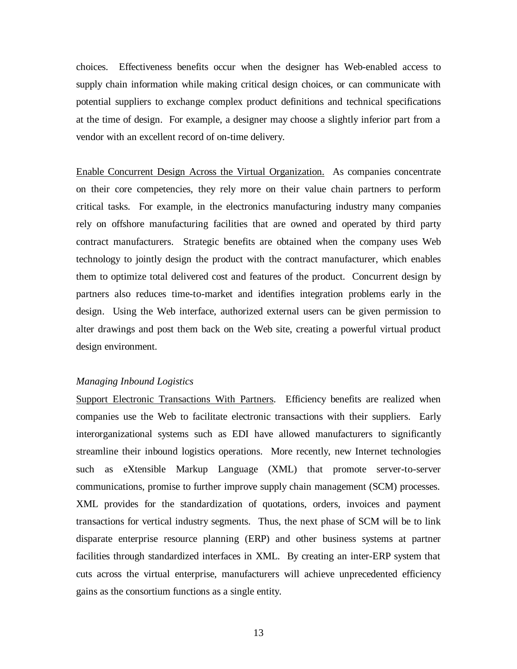choices. Effectiveness benefits occur when the designer has Web-enabled access to supply chain information while making critical design choices, or can communicate with potential suppliers to exchange complex product definitions and technical specifications at the time of design. For example, a designer may choose a slightly inferior part from a vendor with an excellent record of on-time delivery.

Enable Concurrent Design Across the Virtual Organization. As companies concentrate on their core competencies, they rely more on their value chain partners to perform critical tasks. For example, in the electronics manufacturing industry many companies rely on offshore manufacturing facilities that are owned and operated by third party contract manufacturers. Strategic benefits are obtained when the company uses Web technology to jointly design the product with the contract manufacturer, which enables them to optimize total delivered cost and features of the product. Concurrent design by partners also reduces time-to-market and identifies integration problems early in the design. Using the Web interface, authorized external users can be given permission to alter drawings and post them back on the Web site, creating a powerful virtual product design environment.

## *Managing Inbound Logistics*

Support Electronic Transactions With Partners. Efficiency benefits are realized when companies use the Web to facilitate electronic transactions with their suppliers. Early interorganizational systems such as EDI have allowed manufacturers to significantly streamline their inbound logistics operations. More recently, new Internet technologies such as eXtensible Markup Language (XML) that promote server-to-server communications, promise to further improve supply chain management (SCM) processes. XML provides for the standardization of quotations, orders, invoices and payment transactions for vertical industry segments. Thus, the next phase of SCM will be to link disparate enterprise resource planning (ERP) and other business systems at partner facilities through standardized interfaces in XML. By creating an inter-ERP system that cuts across the virtual enterprise, manufacturers will achieve unprecedented efficiency gains as the consortium functions as a single entity.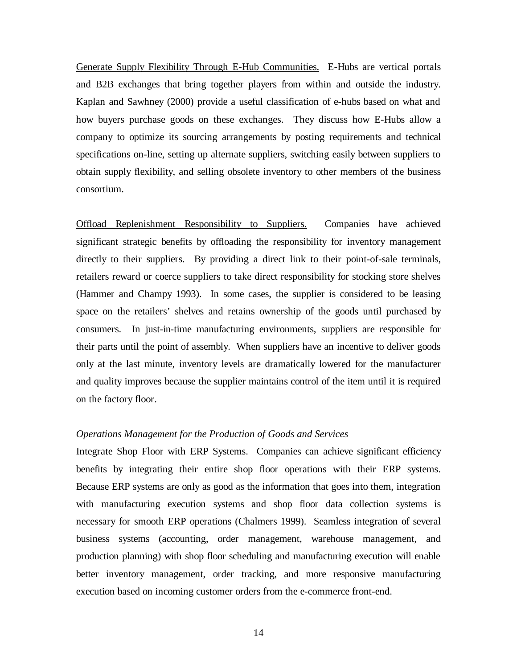Generate Supply Flexibility Through E-Hub Communities. E-Hubs are vertical portals and B2B exchanges that bring together players from within and outside the industry. Kaplan and Sawhney (2000) provide a useful classification of e-hubs based on what and how buyers purchase goods on these exchanges. They discuss how E-Hubs allow a company to optimize its sourcing arrangements by posting requirements and technical specifications on-line, setting up alternate suppliers, switching easily between suppliers to obtain supply flexibility, and selling obsolete inventory to other members of the business consortium.

Offload Replenishment Responsibility to Suppliers. Companies have achieved significant strategic benefits by offloading the responsibility for inventory management directly to their suppliers. By providing a direct link to their point-of-sale terminals, retailers reward or coerce suppliers to take direct responsibility for stocking store shelves (Hammer and Champy 1993). In some cases, the supplier is considered to be leasing space on the retailers' shelves and retains ownership of the goods until purchased by consumers. In just-in-time manufacturing environments, suppliers are responsible for their parts until the point of assembly. When suppliers have an incentive to deliver goods only at the last minute, inventory levels are dramatically lowered for the manufacturer and quality improves because the supplier maintains control of the item until it is required on the factory floor.

## *Operations Management for the Production of Goods and Services*

Integrate Shop Floor with ERP Systems. Companies can achieve significant efficiency benefits by integrating their entire shop floor operations with their ERP systems. Because ERP systems are only as good as the information that goes into them, integration with manufacturing execution systems and shop floor data collection systems is necessary for smooth ERP operations (Chalmers 1999). Seamless integration of several business systems (accounting, order management, warehouse management, and production planning) with shop floor scheduling and manufacturing execution will enable better inventory management, order tracking, and more responsive manufacturing execution based on incoming customer orders from the e-commerce front-end.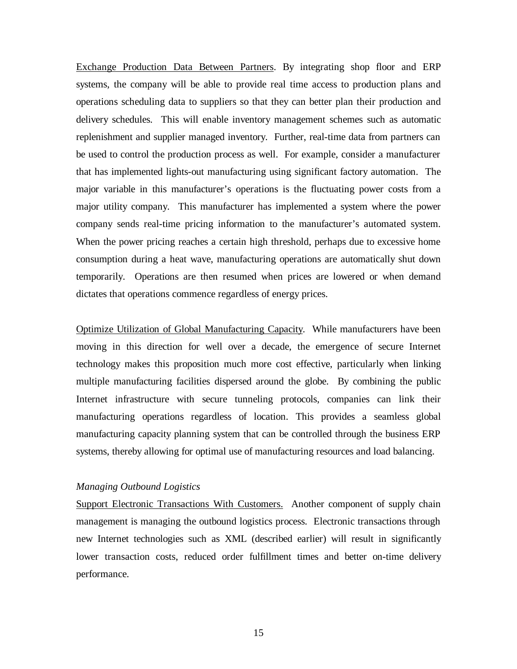Exchange Production Data Between Partners. By integrating shop floor and ERP systems, the company will be able to provide real time access to production plans and operations scheduling data to suppliers so that they can better plan their production and delivery schedules. This will enable inventory management schemes such as automatic replenishment and supplier managed inventory. Further, real-time data from partners can be used to control the production process as well. For example, consider a manufacturer that has implemented lights-out manufacturing using significant factory automation. The major variable in this manufacturer's operations is the fluctuating power costs from a major utility company. This manufacturer has implemented a system where the power company sends real-time pricing information to the manufacturer's automated system. When the power pricing reaches a certain high threshold, perhaps due to excessive home consumption during a heat wave, manufacturing operations are automatically shut down temporarily. Operations are then resumed when prices are lowered or when demand dictates that operations commence regardless of energy prices.

Optimize Utilization of Global Manufacturing Capacity. While manufacturers have been moving in this direction for well over a decade, the emergence of secure Internet technology makes this proposition much more cost effective, particularly when linking multiple manufacturing facilities dispersed around the globe. By combining the public Internet infrastructure with secure tunneling protocols, companies can link their manufacturing operations regardless of location. This provides a seamless global manufacturing capacity planning system that can be controlled through the business ERP systems, thereby allowing for optimal use of manufacturing resources and load balancing.

#### *Managing Outbound Logistics*

Support Electronic Transactions With Customers. Another component of supply chain management is managing the outbound logistics process. Electronic transactions through new Internet technologies such as XML (described earlier) will result in significantly lower transaction costs, reduced order fulfillment times and better on-time delivery performance.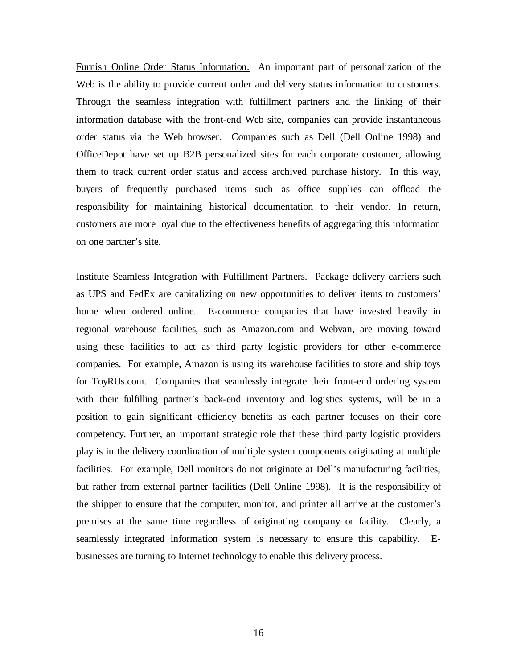Furnish Online Order Status Information. An important part of personalization of the Web is the ability to provide current order and delivery status information to customers. Through the seamless integration with fulfillment partners and the linking of their information database with the front-end Web site, companies can provide instantaneous order status via the Web browser. Companies such as Dell (Dell Online 1998) and OfficeDepot have set up B2B personalized sites for each corporate customer, allowing them to track current order status and access archived purchase history. In this way, buyers of frequently purchased items such as office supplies can offload the responsibility for maintaining historical documentation to their vendor. In return, customers are more loyal due to the effectiveness benefits of aggregating this information on one partner's site.

Institute Seamless Integration with Fulfillment Partners. Package delivery carriers such as UPS and FedEx are capitalizing on new opportunities to deliver items to customers' home when ordered online. E-commerce companies that have invested heavily in regional warehouse facilities, such as Amazon.com and Webvan, are moving toward using these facilities to act as third party logistic providers for other e-commerce companies. For example, Amazon is using its warehouse facilities to store and ship toys for ToyRUs.com. Companies that seamlessly integrate their front-end ordering system with their fulfilling partner's back-end inventory and logistics systems, will be in a position to gain significant efficiency benefits as each partner focuses on their core competency. Further, an important strategic role that these third party logistic providers play is in the delivery coordination of multiple system components originating at multiple facilities. For example, Dell monitors do not originate at Dell's manufacturing facilities, but rather from external partner facilities (Dell Online 1998). It is the responsibility of the shipper to ensure that the computer, monitor, and printer all arrive at the customer's premises at the same time regardless of originating company or facility. Clearly, a seamlessly integrated information system is necessary to ensure this capability. Ebusinesses are turning to Internet technology to enable this delivery process.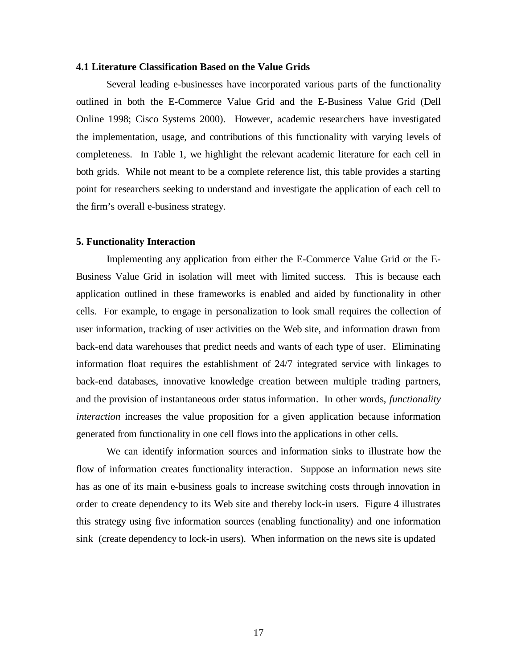#### **4.1 Literature Classification Based on the Value Grids**

Several leading e-businesses have incorporated various parts of the functionality outlined in both the E-Commerce Value Grid and the E-Business Value Grid (Dell Online 1998; Cisco Systems 2000). However, academic researchers have investigated the implementation, usage, and contributions of this functionality with varying levels of completeness. In Table 1, we highlight the relevant academic literature for each cell in both grids. While not meant to be a complete reference list, this table provides a starting point for researchers seeking to understand and investigate the application of each cell to the firm's overall e-business strategy.

## **5. Functionality Interaction**

Implementing any application from either the E-Commerce Value Grid or the E-Business Value Grid in isolation will meet with limited success. This is because each application outlined in these frameworks is enabled and aided by functionality in other cells. For example, to engage in personalization to look small requires the collection of user information, tracking of user activities on the Web site, and information drawn from back-end data warehouses that predict needs and wants of each type of user. Eliminating information float requires the establishment of 24/7 integrated service with linkages to back-end databases, innovative knowledge creation between multiple trading partners, and the provision of instantaneous order status information. In other words, *functionality interaction* increases the value proposition for a given application because information generated from functionality in one cell flows into the applications in other cells.

We can identify information sources and information sinks to illustrate how the flow of information creates functionality interaction. Suppose an information news site has as one of its main e-business goals to increase switching costs through innovation in order to create dependency to its Web site and thereby lock-in users. Figure 4 illustrates this strategy using five information sources (enabling functionality) and one information sink (create dependency to lock-in users). When information on the news site is updated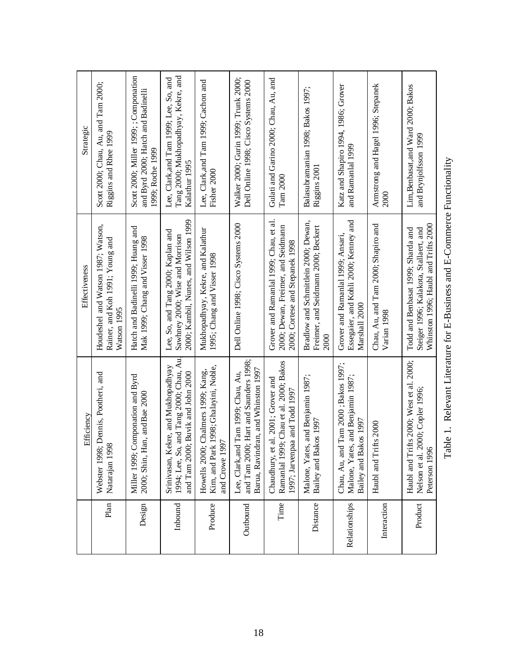|               | Efficiency                                                                                                          | Effectiveness                                                                                                        | Strategic                                                                                        |
|---------------|---------------------------------------------------------------------------------------------------------------------|----------------------------------------------------------------------------------------------------------------------|--------------------------------------------------------------------------------------------------|
| Plan          | Webster 1998; Dennis, Pootheri, and<br>Natarajan 1998                                                               | Houdeshel and Watson 1987; Watson,<br>Rainer, and Koh 1991; Young and<br>Watson 1995                                 | Scott 2000; Chau, Au, and Tam 2000;<br>Riggins and Rhee 1999                                     |
| Design        | Componation and Byrd<br>2000; Shin, Han, and Bae 2000<br>Miller 1999;                                               | Hatch and Badinelli 1999; Huang and<br>Mak 1999; Chang and Visser 1998                                               | Scott 2000; Miller 1999; ; Componation<br>and Byrd 2000; Hatch and Badinelli<br>1999; Roche 1999 |
| Inbound       | 1994; Lee, So, and Tang 2000; Chau, Au<br>Srinivasan, Kekre, and Mukhopadhyay<br>and Tam 2000; Buvik and John 2000  | 2000; Kambil, Nunes, and Wilson 1999<br>Lee, So, and Tang 2000; Kaplan and<br>Sawhney 2000; Wise and Morrison        | Tang 2000; Mukhopadhyay, Kekre, and<br>Lee, Clark, and Tam 1999; Lee, So, and<br>Kalathur 1995   |
| Produce       | Kim, and Park 1998; Ghalayini, Noble,<br>Howells 2000; Chalmers 1999; Kang,<br>and Crowe 1997                       | Mukhopadhyay, Kekre, and Kalathur<br>1995; Chang and Visser 1998                                                     | Lee, Clark, and Tam 1999; Cachon and<br>Fisher 2000                                              |
| Outbound      | and Tam 2000; Hart and Saunders 1998;<br>Barua, Ravindran, and Whinston 1997<br>Lee, Clark, and Tam 1999; Chau, Au, | Dell Online 1998; Cisco Systems 2000                                                                                 | Walker 2000; Gurin 1999; Trunk 2000;<br>Dell Online 1998; Cisco Systems 2000                     |
| Time          | Ramanlal 1999; Chau et al. 2000; Bakos<br>Chaudhury, et al. 2001; Grover and<br>1997; Jarvenpaa and Todd 1997       | Grover and Ramanlal 1999; Chau, et al.<br>2000; Dewan, Freimer, and Seidmann<br>2000; Cortese and Stepanek 1998      | Gulati and Garino 2000; Chau, Au, and<br>$\mathrm{Tam}\,2000$                                    |
| Distance      | Malone, Yates, and Benjamin 1987;<br>akos 1997<br>Bailey and B:                                                     | Bradlow and Schmittlein 2000; Dewan,<br>Freimer, and Seidmann 2000; Beckert<br>2000                                  | Balasubramanian 1998; Bakos 1997;<br>Riggins 2001                                                |
| Relationships | Chau, Au, and Tam 2000; Bakos 1997;<br>Malone, Yates, and Benjamin 1987;<br>Bailey and Bakos 1997                   | Essegaier, and Kohli 2000; Kenney and<br>Grover and Ramanlal 1999; Ansari,<br>Marshall 2000                          | Katz and Shapiro 1994, 1986; Grover<br>and Ramanlal 1999                                         |
| Interaction   | ifts 2000<br>Haubl and Tr                                                                                           | Chau, Au, and Tam 2000; Shapiro and<br>Varian 1998                                                                   | Armstrong and Hagel 1996; Stepanek<br>2000                                                       |
| Product       | Haubl and Trifts 2000; West et al. 2000;<br>2000; Copler 1996;<br>Peterson 1996<br>Nelson et al.                    | Whinston 1996; Haubl and Trifts 2000<br>Todd and Benbasat 1999; Sharda and<br>Steiger 1996; Kalakota, Stallaert, and | Lim, Benbasat, and Ward 2000; Bakos<br>and Brynjolfsson 1999                                     |

Table 1. Relevant Literature for E-Business and E-Commerce Functionality Table 1. Relevant Literature for E-Business and E-Commerce Functionality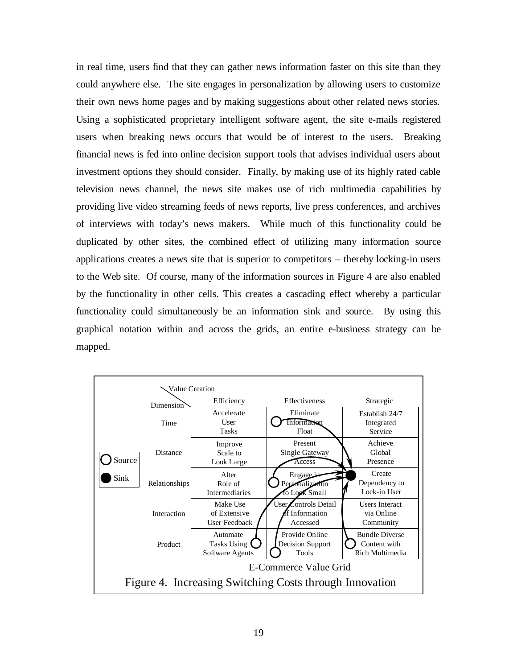in real time, users find that they can gather news information faster on this site than they could anywhere else. The site engages in personalization by allowing users to customize their own news home pages and by making suggestions about other related news stories. Using a sophisticated proprietary intelligent software agent, the site e-mails registered users when breaking news occurs that would be of interest to the users. Breaking financial news is fed into online decision support tools that advises individual users about investment options they should consider. Finally, by making use of its highly rated cable television news channel, the news site makes use of rich multimedia capabilities by providing live video streaming feeds of news reports, live press conferences, and archives of interviews with today's news makers. While much of this functionality could be duplicated by other sites, the combined effect of utilizing many information source applications creates a news site that is superior to competitors – thereby locking-in users to the Web site. Of course, many of the information sources in Figure 4 are also enabled by the functionality in other cells. This creates a cascading effect whereby a particular functionality could simultaneously be an information sink and source. By using this graphical notation within and across the grids, an entire e-business strategy can be mapped.

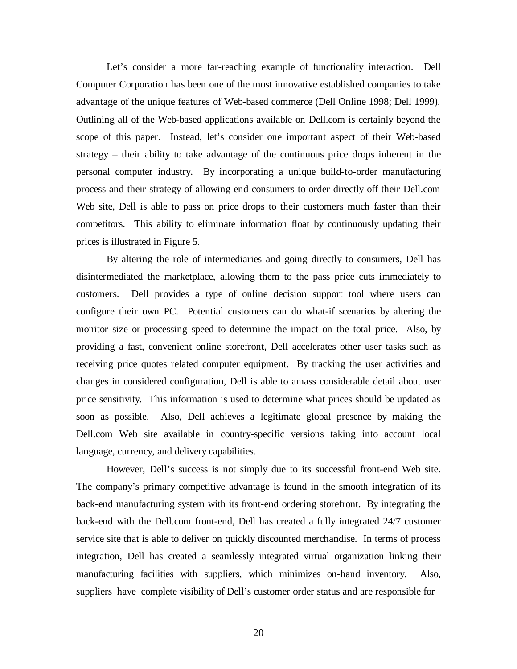Let's consider a more far-reaching example of functionality interaction. Dell Computer Corporation has been one of the most innovative established companies to take advantage of the unique features of Web-based commerce (Dell Online 1998; Dell 1999). Outlining all of the Web-based applications available on Dell.com is certainly beyond the scope of this paper. Instead, let's consider one important aspect of their Web-based strategy – their ability to take advantage of the continuous price drops inherent in the personal computer industry. By incorporating a unique build-to-order manufacturing process and their strategy of allowing end consumers to order directly off their Dell.com Web site, Dell is able to pass on price drops to their customers much faster than their competitors. This ability to eliminate information float by continuously updating their prices is illustrated in Figure 5.

By altering the role of intermediaries and going directly to consumers, Dell has disintermediated the marketplace, allowing them to the pass price cuts immediately to customers. Dell provides a type of online decision support tool where users can configure their own PC. Potential customers can do what-if scenarios by altering the monitor size or processing speed to determine the impact on the total price. Also, by providing a fast, convenient online storefront, Dell accelerates other user tasks such as receiving price quotes related computer equipment. By tracking the user activities and changes in considered configuration, Dell is able to amass considerable detail about user price sensitivity. This information is used to determine what prices should be updated as soon as possible. Also, Dell achieves a legitimate global presence by making the Dell.com Web site available in country-specific versions taking into account local language, currency, and delivery capabilities.

However, Dell's success is not simply due to its successful front-end Web site. The company's primary competitive advantage is found in the smooth integration of its back-end manufacturing system with its front-end ordering storefront. By integrating the back-end with the Dell.com front-end, Dell has created a fully integrated 24/7 customer service site that is able to deliver on quickly discounted merchandise. In terms of process integration, Dell has created a seamlessly integrated virtual organization linking their manufacturing facilities with suppliers, which minimizes on-hand inventory. Also, suppliers have complete visibility of Dell's customer order status and are responsible for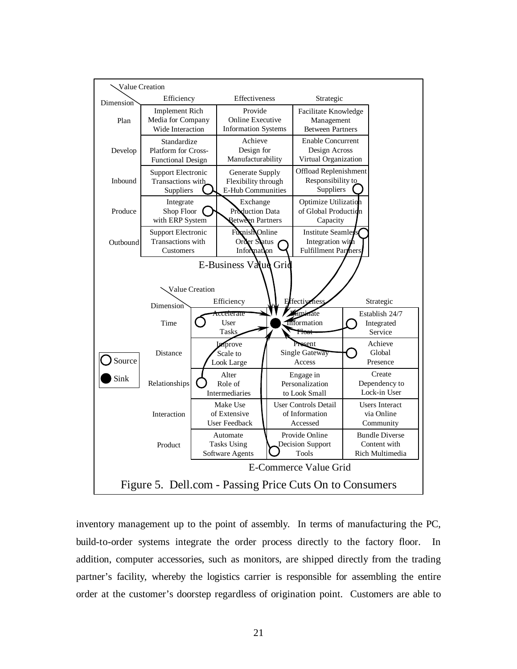

inventory management up to the point of assembly. In terms of manufacturing the PC, build-to-order systems integrate the order process directly to the factory floor. In addition, computer accessories, such as monitors, are shipped directly from the trading partner's facility, whereby the logistics carrier is responsible for assembling the entire order at the customer's doorstep regardless of origination point. Customers are able to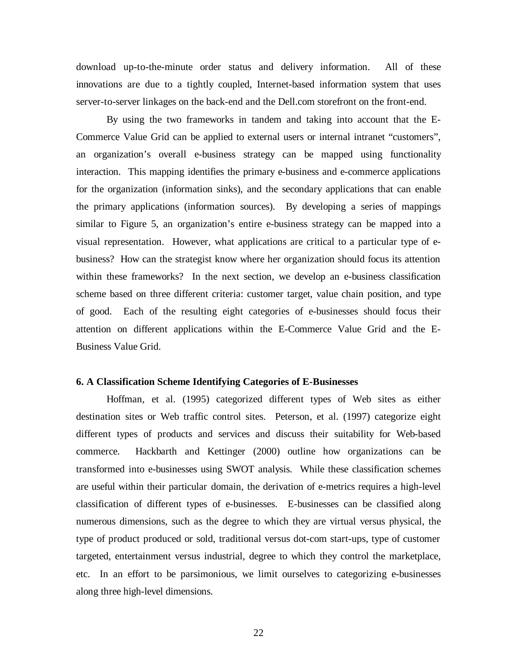download up-to-the-minute order status and delivery information. All of these innovations are due to a tightly coupled, Internet-based information system that uses server-to-server linkages on the back-end and the Dell.com storefront on the front-end.

By using the two frameworks in tandem and taking into account that the E-Commerce Value Grid can be applied to external users or internal intranet "customers", an organization's overall e-business strategy can be mapped using functionality interaction. This mapping identifies the primary e-business and e-commerce applications for the organization (information sinks), and the secondary applications that can enable the primary applications (information sources). By developing a series of mappings similar to Figure 5, an organization's entire e-business strategy can be mapped into a visual representation. However, what applications are critical to a particular type of ebusiness? How can the strategist know where her organization should focus its attention within these frameworks? In the next section, we develop an e-business classification scheme based on three different criteria: customer target, value chain position, and type of good. Each of the resulting eight categories of e-businesses should focus their attention on different applications within the E-Commerce Value Grid and the E-Business Value Grid.

#### **6. A Classification Scheme Identifying Categories of E-Businesses**

Hoffman, et al. (1995) categorized different types of Web sites as either destination sites or Web traffic control sites. Peterson, et al. (1997) categorize eight different types of products and services and discuss their suitability for Web-based commerce. Hackbarth and Kettinger (2000) outline how organizations can be transformed into e-businesses using SWOT analysis. While these classification schemes are useful within their particular domain, the derivation of e-metrics requires a high-level classification of different types of e-businesses. E-businesses can be classified along numerous dimensions, such as the degree to which they are virtual versus physical, the type of product produced or sold, traditional versus dot-com start-ups, type of customer targeted, entertainment versus industrial, degree to which they control the marketplace, etc. In an effort to be parsimonious, we limit ourselves to categorizing e-businesses along three high-level dimensions.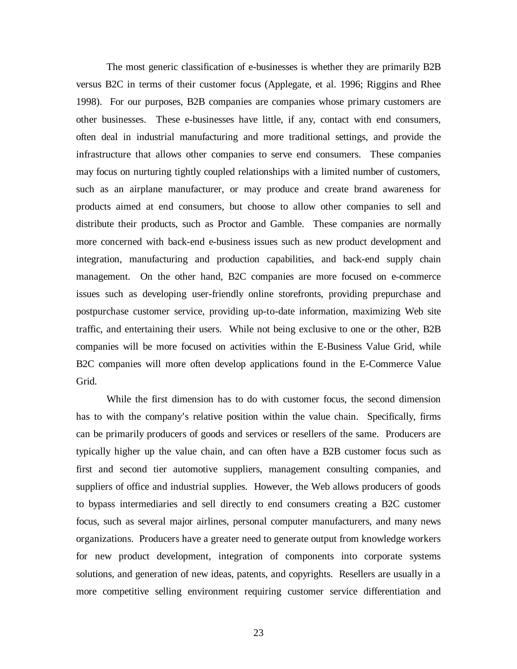The most generic classification of e-businesses is whether they are primarily B2B versus B2C in terms of their customer focus (Applegate, et al. 1996; Riggins and Rhee 1998). For our purposes, B2B companies are companies whose primary customers are other businesses. These e-businesses have little, if any, contact with end consumers, often deal in industrial manufacturing and more traditional settings, and provide the infrastructure that allows other companies to serve end consumers. These companies may focus on nurturing tightly coupled relationships with a limited number of customers, such as an airplane manufacturer, or may produce and create brand awareness for products aimed at end consumers, but choose to allow other companies to sell and distribute their products, such as Proctor and Gamble. These companies are normally more concerned with back-end e-business issues such as new product development and integration, manufacturing and production capabilities, and back-end supply chain management. On the other hand, B2C companies are more focused on e-commerce issues such as developing user-friendly online storefronts, providing prepurchase and postpurchase customer service, providing up-to-date information, maximizing Web site traffic, and entertaining their users. While not being exclusive to one or the other, B2B companies will be more focused on activities within the E-Business Value Grid, while B2C companies will more often develop applications found in the E-Commerce Value Grid.

While the first dimension has to do with customer focus, the second dimension has to with the company's relative position within the value chain. Specifically, firms can be primarily producers of goods and services or resellers of the same. Producers are typically higher up the value chain, and can often have a B2B customer focus such as first and second tier automotive suppliers, management consulting companies, and suppliers of office and industrial supplies. However, the Web allows producers of goods to bypass intermediaries and sell directly to end consumers creating a B2C customer focus, such as several major airlines, personal computer manufacturers, and many news organizations. Producers have a greater need to generate output from knowledge workers for new product development, integration of components into corporate systems solutions, and generation of new ideas, patents, and copyrights. Resellers are usually in a more competitive selling environment requiring customer service differentiation and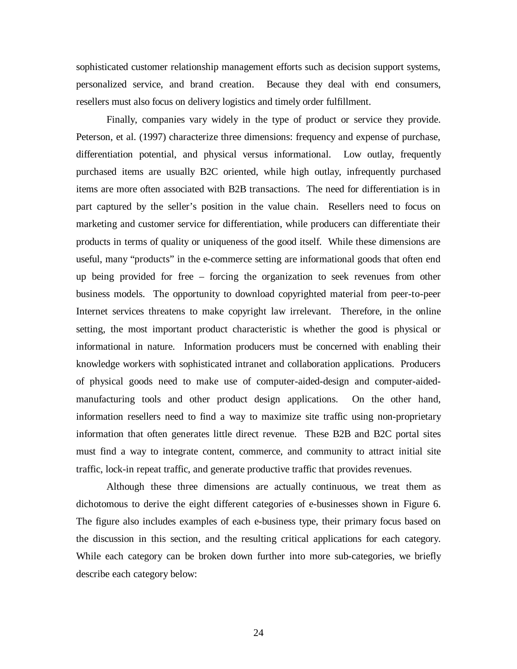sophisticated customer relationship management efforts such as decision support systems, personalized service, and brand creation. Because they deal with end consumers, resellers must also focus on delivery logistics and timely order fulfillment.

Finally, companies vary widely in the type of product or service they provide. Peterson, et al. (1997) characterize three dimensions: frequency and expense of purchase, differentiation potential, and physical versus informational. Low outlay, frequently purchased items are usually B2C oriented, while high outlay, infrequently purchased items are more often associated with B2B transactions. The need for differentiation is in part captured by the seller's position in the value chain. Resellers need to focus on marketing and customer service for differentiation, while producers can differentiate their products in terms of quality or uniqueness of the good itself. While these dimensions are useful, many "products" in the e-commerce setting are informational goods that often end up being provided for free – forcing the organization to seek revenues from other business models. The opportunity to download copyrighted material from peer-to-peer Internet services threatens to make copyright law irrelevant. Therefore, in the online setting, the most important product characteristic is whether the good is physical or informational in nature. Information producers must be concerned with enabling their knowledge workers with sophisticated intranet and collaboration applications. Producers of physical goods need to make use of computer-aided-design and computer-aidedmanufacturing tools and other product design applications. On the other hand, information resellers need to find a way to maximize site traffic using non-proprietary information that often generates little direct revenue. These B2B and B2C portal sites must find a way to integrate content, commerce, and community to attract initial site traffic, lock-in repeat traffic, and generate productive traffic that provides revenues.

Although these three dimensions are actually continuous, we treat them as dichotomous to derive the eight different categories of e-businesses shown in Figure 6. The figure also includes examples of each e-business type, their primary focus based on the discussion in this section, and the resulting critical applications for each category. While each category can be broken down further into more sub-categories, we briefly describe each category below:

24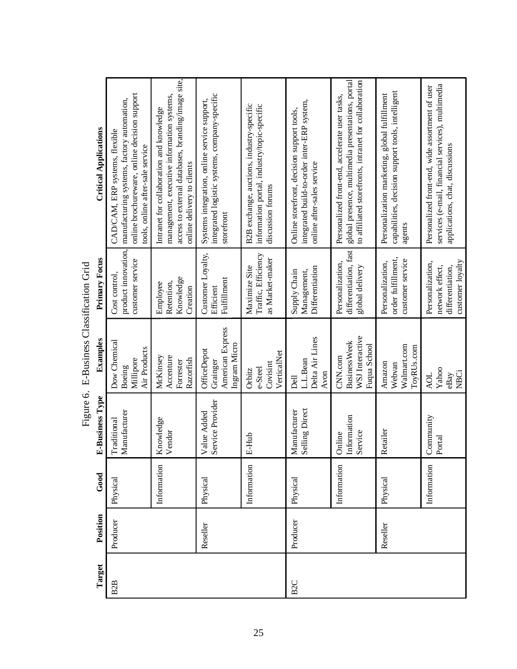| <b>Critical Applications</b> |                                                                                                                                                                  |                                                                                                                                                                            |                                                                                               |                                                                                                               |                                                                                                                         |                                                                                                                                                              |                                                                                                    |                                                                                                                                         |
|------------------------------|------------------------------------------------------------------------------------------------------------------------------------------------------------------|----------------------------------------------------------------------------------------------------------------------------------------------------------------------------|-----------------------------------------------------------------------------------------------|---------------------------------------------------------------------------------------------------------------|-------------------------------------------------------------------------------------------------------------------------|--------------------------------------------------------------------------------------------------------------------------------------------------------------|----------------------------------------------------------------------------------------------------|-----------------------------------------------------------------------------------------------------------------------------------------|
|                              | online brochureware, online decision support<br>manufacturing systems, factory automation,<br>CAD/CAM, ERP systems, flexible<br>tools, online after-sale service | access to external databases, branding/image site,<br>management, executive information systems,<br>Intranet for collaboration and knowledge<br>online delivery to clients | integrated logistic systems, company-specific<br>Systems integration, online service support, | B2B exchange, auctions, industry-specific<br>information portal, industry/topic-specific<br>discussion forums | integrated build-to-order inter-ERP system,<br>Online storefront, decision support tools,<br>online after-sales service | global presence, multimedia presentations, portal<br>to affiliated storefronts, intranet for collaboration<br>Personalized front-end, accelerate user tasks, | capabilities, decision support tools, intelligent<br>Personalization marketing, global fulfillment | services (e-mail, financial services), multimedia<br>Personalized front-end, wide assortment of user<br>applications, chat, discussions |
|                              |                                                                                                                                                                  |                                                                                                                                                                            | storefront                                                                                    |                                                                                                               |                                                                                                                         |                                                                                                                                                              | agents                                                                                             |                                                                                                                                         |
| Primary Focus                | product innovation<br>customer service<br>Cost control,                                                                                                          | Knowledge<br>Retention,<br>Employee<br>Creation                                                                                                                            | Customer Loyalty,<br>Fulfillment<br>Efficient                                                 | Traffic, Efficiency<br>as Market-maker<br>Maximize Site                                                       | Differentiation<br>Supply Chain<br>Management,                                                                          | differentiation, fast<br>Personalization,<br>global delivery                                                                                                 | order fulfillment,<br>customer service<br>Personalization,                                         | customer loyalty<br>Personalization,<br>differentiation,<br>network effect,                                                             |
| Examples                     | Dow Chemical<br>Air Products<br>Millipore<br>Boeing                                                                                                              | Accenture<br>McKinsey<br>Razorfish<br>Forrester                                                                                                                            | American Express<br>Ingram Micro<br>OfficeDepot<br>Grainger                                   | VerticalNet<br>Covisint<br>e-Steel<br>Orbitz                                                                  | Delta Air Lines<br>L.L.Bean<br>Avon<br>Dell                                                                             | WSJ Interactive<br><b>BusinessWeek</b><br>Fuqua School<br>CNN.com                                                                                            | Walmart.com<br>ToyRUs.com<br>Amazon<br>Webvan                                                      | Yahoo<br><b>NBCi</b><br><b>AOL</b><br>eBay                                                                                              |
| E-Business Type              | Manufacturer<br>Traditional                                                                                                                                      | Knowledge<br>Vendor                                                                                                                                                        | Service Provider<br>Value Added                                                               | E-Hub                                                                                                         | Selling Direct<br>Manufacturer                                                                                          | Information<br>Service<br>Online                                                                                                                             | Retailer                                                                                           | Community<br>$\rm Portal$                                                                                                               |
| Good                         | Physical                                                                                                                                                         | Information                                                                                                                                                                | Physical                                                                                      | Information                                                                                                   | Physical                                                                                                                | Information                                                                                                                                                  | Physical                                                                                           | Information                                                                                                                             |
| Position                     | Producer                                                                                                                                                         |                                                                                                                                                                            | Reseller                                                                                      |                                                                                                               | Producer                                                                                                                |                                                                                                                                                              | Reseller                                                                                           |                                                                                                                                         |
| Target                       | B <sub>2</sub> B                                                                                                                                                 |                                                                                                                                                                            |                                                                                               |                                                                                                               | B <sub>2C</sub>                                                                                                         |                                                                                                                                                              |                                                                                                    |                                                                                                                                         |

Figure 6. E-Business Classification Grid Figure 6. E-Business Classification Grid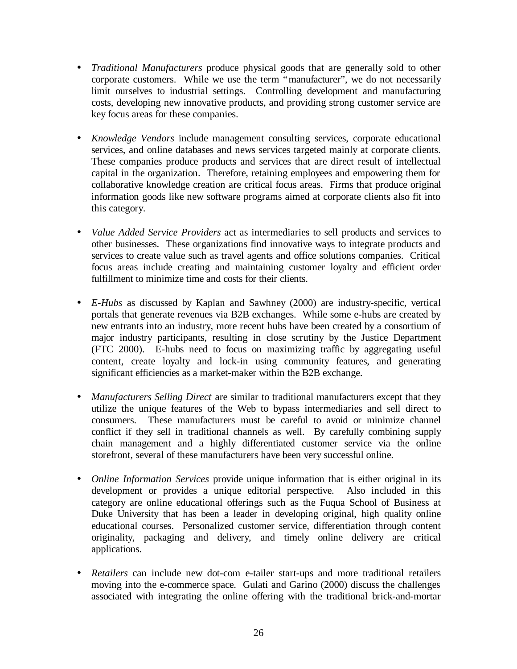- *Traditional Manufacturers* produce physical goods that are generally sold to other corporate customers. While we use the term "manufacturer", we do not necessarily limit ourselves to industrial settings. Controlling development and manufacturing costs, developing new innovative products, and providing strong customer service are key focus areas for these companies.
- *Knowledge Vendors* include management consulting services, corporate educational services, and online databases and news services targeted mainly at corporate clients. These companies produce products and services that are direct result of intellectual capital in the organization. Therefore, retaining employees and empowering them for collaborative knowledge creation are critical focus areas. Firms that produce original information goods like new software programs aimed at corporate clients also fit into this category.
- *Value Added Service Providers* act as intermediaries to sell products and services to other businesses. These organizations find innovative ways to integrate products and services to create value such as travel agents and office solutions companies. Critical focus areas include creating and maintaining customer loyalty and efficient order fulfillment to minimize time and costs for their clients.
- *E-Hubs* as discussed by Kaplan and Sawhney (2000) are industry-specific, vertical portals that generate revenues via B2B exchanges. While some e-hubs are created by new entrants into an industry, more recent hubs have been created by a consortium of major industry participants, resulting in close scrutiny by the Justice Department (FTC 2000). E-hubs need to focus on maximizing traffic by aggregating useful content, create loyalty and lock-in using community features, and generating significant efficiencies as a market-maker within the B2B exchange.
- *Manufacturers Selling Direct* are similar to traditional manufacturers except that they utilize the unique features of the Web to bypass intermediaries and sell direct to consumers. These manufacturers must be careful to avoid or minimize channel conflict if they sell in traditional channels as well. By carefully combining supply chain management and a highly differentiated customer service via the online storefront, several of these manufacturers have been very successful online.
- *Online Information Services* provide unique information that is either original in its development or provides a unique editorial perspective. Also included in this category are online educational offerings such as the Fuqua School of Business at Duke University that has been a leader in developing original, high quality online educational courses. Personalized customer service, differentiation through content originality, packaging and delivery, and timely online delivery are critical applications.
- *Retailers* can include new dot-com e-tailer start-ups and more traditional retailers moving into the e-commerce space. Gulati and Garino (2000) discuss the challenges associated with integrating the online offering with the traditional brick-and-mortar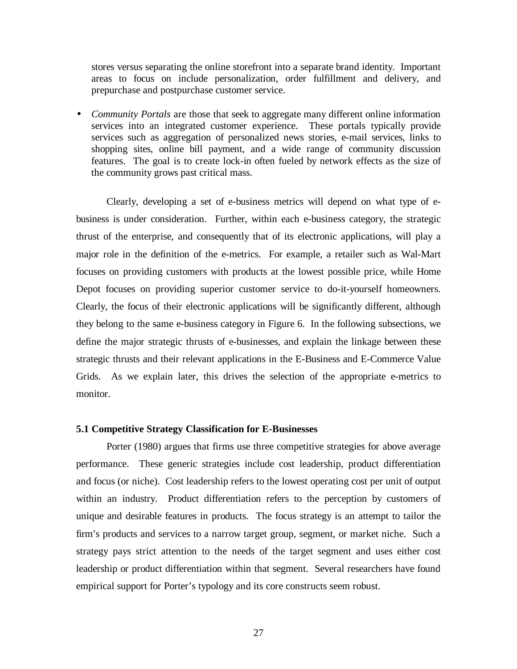stores versus separating the online storefront into a separate brand identity. Important areas to focus on include personalization, order fulfillment and delivery, and prepurchase and postpurchase customer service.

• *Community Portals* are those that seek to aggregate many different online information services into an integrated customer experience. These portals typically provide services such as aggregation of personalized news stories, e-mail services, links to shopping sites, online bill payment, and a wide range of community discussion features. The goal is to create lock-in often fueled by network effects as the size of the community grows past critical mass.

Clearly, developing a set of e-business metrics will depend on what type of ebusiness is under consideration. Further, within each e-business category, the strategic thrust of the enterprise, and consequently that of its electronic applications, will play a major role in the definition of the e-metrics. For example, a retailer such as Wal-Mart focuses on providing customers with products at the lowest possible price, while Home Depot focuses on providing superior customer service to do-it-yourself homeowners. Clearly, the focus of their electronic applications will be significantly different, although they belong to the same e-business category in Figure 6. In the following subsections, we define the major strategic thrusts of e-businesses, and explain the linkage between these strategic thrusts and their relevant applications in the E-Business and E-Commerce Value Grids. As we explain later, this drives the selection of the appropriate e-metrics to monitor.

## **5.1 Competitive Strategy Classification for E-Businesses**

Porter (1980) argues that firms use three competitive strategies for above average performance. These generic strategies include cost leadership, product differentiation and focus (or niche). Cost leadership refers to the lowest operating cost per unit of output within an industry. Product differentiation refers to the perception by customers of unique and desirable features in products. The focus strategy is an attempt to tailor the firm's products and services to a narrow target group, segment, or market niche. Such a strategy pays strict attention to the needs of the target segment and uses either cost leadership or product differentiation within that segment. Several researchers have found empirical support for Porter's typology and its core constructs seem robust.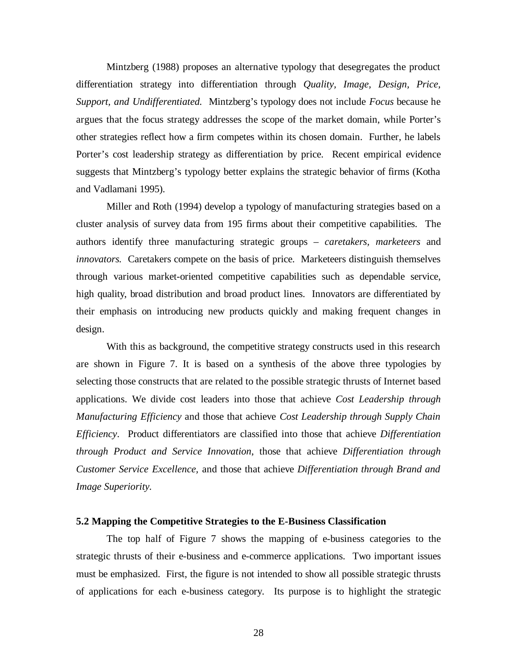Mintzberg (1988) proposes an alternative typology that desegregates the product differentiation strategy into differentiation through *Quality, Image, Design, Price, Support, and Undifferentiated.* Mintzberg's typology does not include *Focus* because he argues that the focus strategy addresses the scope of the market domain, while Porter's other strategies reflect how a firm competes within its chosen domain. Further, he labels Porter's cost leadership strategy as differentiation by price. Recent empirical evidence suggests that Mintzberg's typology better explains the strategic behavior of firms (Kotha and Vadlamani 1995).

Miller and Roth (1994) develop a typology of manufacturing strategies based on a cluster analysis of survey data from 195 firms about their competitive capabilities. The authors identify three manufacturing strategic groups – *caretakers, marketeers* and *innovators.* Caretakers compete on the basis of price. Marketeers distinguish themselves through various market-oriented competitive capabilities such as dependable service, high quality, broad distribution and broad product lines. Innovators are differentiated by their emphasis on introducing new products quickly and making frequent changes in design.

With this as background, the competitive strategy constructs used in this research are shown in Figure 7. It is based on a synthesis of the above three typologies by selecting those constructs that are related to the possible strategic thrusts of Internet based applications. We divide cost leaders into those that achieve *Cost Leadership through Manufacturing Efficiency* and those that achieve *Cost Leadership through Supply Chain Efficiency*. Product differentiators are classified into those that achieve *Differentiation through Product and Service Innovation*, those that achieve *Differentiation through Customer Service Excellence,* and those that achieve *Differentiation through Brand and Image Superiority.*

#### **5.2 Mapping the Competitive Strategies to the E-Business Classification**

The top half of Figure 7 shows the mapping of e-business categories to the strategic thrusts of their e-business and e-commerce applications. Two important issues must be emphasized. First, the figure is not intended to show all possible strategic thrusts of applications for each e-business category. Its purpose is to highlight the strategic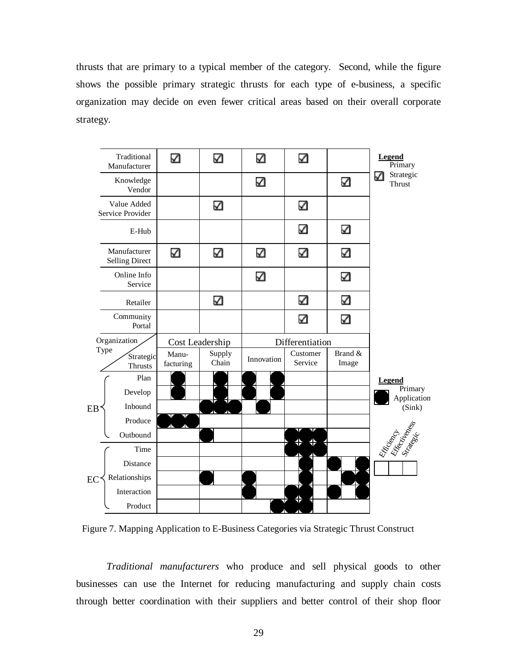thrusts that are primary to a typical member of the category. Second, while the figure shows the possible primary strategic thrusts for each type of e-business, a specific organization may decide on even fewer critical areas based on their overall corporate strategy.



Figure 7. Mapping Application to E-Business Categories via Strategic Thrust Construct

*Traditional manufacturers* who produce and sell physical goods to other businesses can use the Internet for reducing manufacturing and supply chain costs through better coordination with their suppliers and better control of their shop floor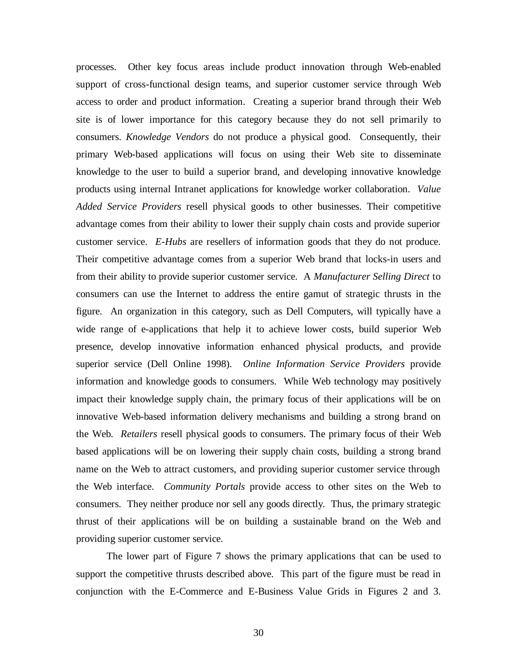processes. Other key focus areas include product innovation through Web-enabled support of cross-functional design teams, and superior customer service through Web access to order and product information. Creating a superior brand through their Web site is of lower importance for this category because they do not sell primarily to consumers. *Knowledge Vendors* do not produce a physical good. Consequently, their primary Web-based applications will focus on using their Web site to disseminate knowledge to the user to build a superior brand, and developing innovative knowledge products using internal Intranet applications for knowledge worker collaboration. *Value Added Service Providers* resell physical goods to other businesses. Their competitive advantage comes from their ability to lower their supply chain costs and provide superior customer service. *E-Hubs* are resellers of information goods that they do not produce. Their competitive advantage comes from a superior Web brand that locks-in users and from their ability to provide superior customer service. A *Manufacturer Selling Direct* to consumers can use the Internet to address the entire gamut of strategic thrusts in the figure. An organization in this category, such as Dell Computers, will typically have a wide range of e-applications that help it to achieve lower costs, build superior Web presence, develop innovative information enhanced physical products, and provide superior service (Dell Online 1998). *Online Information Service Providers* provide information and knowledge goods to consumers. While Web technology may positively impact their knowledge supply chain, the primary focus of their applications will be on innovative Web-based information delivery mechanisms and building a strong brand on the Web. *Retailers* resell physical goods to consumers. The primary focus of their Web based applications will be on lowering their supply chain costs, building a strong brand name on the Web to attract customers, and providing superior customer service through the Web interface. *Community Portals* provide access to other sites on the Web to consumers. They neither produce nor sell any goods directly. Thus, the primary strategic thrust of their applications will be on building a sustainable brand on the Web and providing superior customer service.

The lower part of Figure 7 shows the primary applications that can be used to support the competitive thrusts described above. This part of the figure must be read in conjunction with the E-Commerce and E-Business Value Grids in Figures 2 and 3.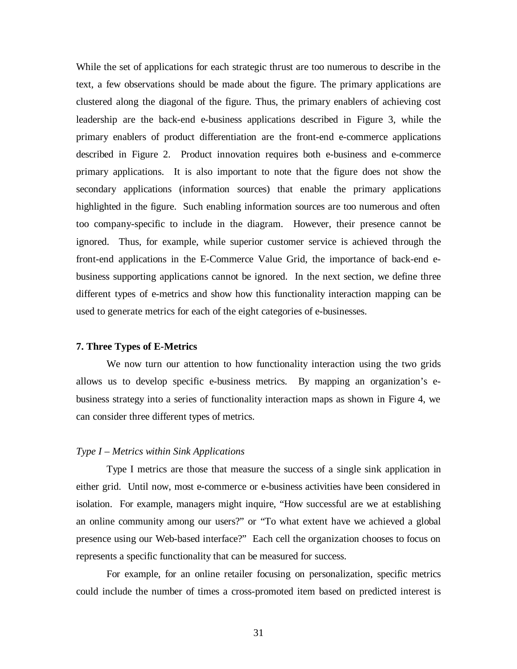While the set of applications for each strategic thrust are too numerous to describe in the text, a few observations should be made about the figure. The primary applications are clustered along the diagonal of the figure. Thus, the primary enablers of achieving cost leadership are the back-end e-business applications described in Figure 3, while the primary enablers of product differentiation are the front-end e-commerce applications described in Figure 2. Product innovation requires both e-business and e-commerce primary applications. It is also important to note that the figure does not show the secondary applications (information sources) that enable the primary applications highlighted in the figure. Such enabling information sources are too numerous and often too company-specific to include in the diagram. However, their presence cannot be ignored. Thus, for example, while superior customer service is achieved through the front-end applications in the E-Commerce Value Grid, the importance of back-end ebusiness supporting applications cannot be ignored. In the next section, we define three different types of e-metrics and show how this functionality interaction mapping can be used to generate metrics for each of the eight categories of e-businesses.

#### **7. Three Types of E-Metrics**

We now turn our attention to how functionality interaction using the two grids allows us to develop specific e-business metrics. By mapping an organization's ebusiness strategy into a series of functionality interaction maps as shown in Figure 4, we can consider three different types of metrics.

## *Type I – Metrics within Sink Applications*

Type I metrics are those that measure the success of a single sink application in either grid. Until now, most e-commerce or e-business activities have been considered in isolation. For example, managers might inquire, "How successful are we at establishing an online community among our users?" or "To what extent have we achieved a global presence using our Web-based interface?" Each cell the organization chooses to focus on represents a specific functionality that can be measured for success.

For example, for an online retailer focusing on personalization, specific metrics could include the number of times a cross-promoted item based on predicted interest is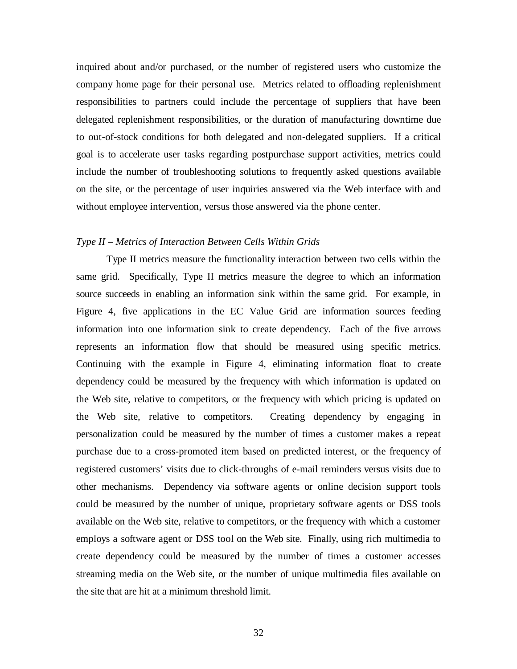inquired about and/or purchased, or the number of registered users who customize the company home page for their personal use. Metrics related to offloading replenishment responsibilities to partners could include the percentage of suppliers that have been delegated replenishment responsibilities, or the duration of manufacturing downtime due to out-of-stock conditions for both delegated and non-delegated suppliers. If a critical goal is to accelerate user tasks regarding postpurchase support activities, metrics could include the number of troubleshooting solutions to frequently asked questions available on the site, or the percentage of user inquiries answered via the Web interface with and without employee intervention, versus those answered via the phone center.

## *Type II – Metrics of Interaction Between Cells Within Grids*

Type II metrics measure the functionality interaction between two cells within the same grid. Specifically, Type II metrics measure the degree to which an information source succeeds in enabling an information sink within the same grid. For example, in Figure 4, five applications in the EC Value Grid are information sources feeding information into one information sink to create dependency. Each of the five arrows represents an information flow that should be measured using specific metrics. Continuing with the example in Figure 4, eliminating information float to create dependency could be measured by the frequency with which information is updated on the Web site, relative to competitors, or the frequency with which pricing is updated on the Web site, relative to competitors. Creating dependency by engaging in personalization could be measured by the number of times a customer makes a repeat purchase due to a cross-promoted item based on predicted interest, or the frequency of registered customers' visits due to click-throughs of e-mail reminders versus visits due to other mechanisms. Dependency via software agents or online decision support tools could be measured by the number of unique, proprietary software agents or DSS tools available on the Web site, relative to competitors, or the frequency with which a customer employs a software agent or DSS tool on the Web site. Finally, using rich multimedia to create dependency could be measured by the number of times a customer accesses streaming media on the Web site, or the number of unique multimedia files available on the site that are hit at a minimum threshold limit.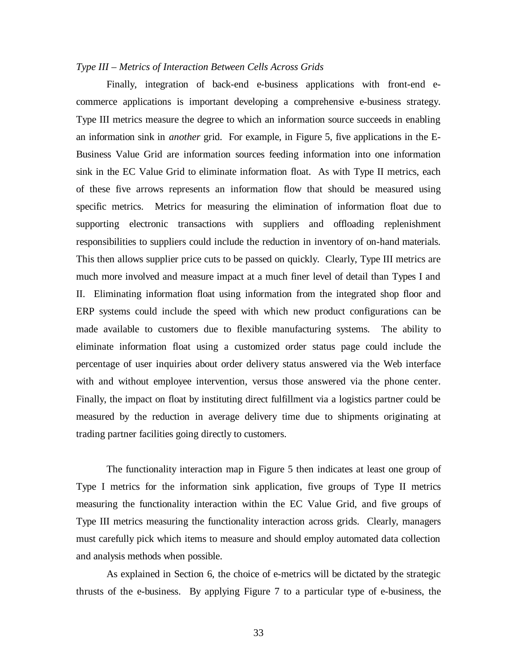## *Type III – Metrics of Interaction Between Cells Across Grids*

Finally, integration of back-end e-business applications with front-end ecommerce applications is important developing a comprehensive e-business strategy. Type III metrics measure the degree to which an information source succeeds in enabling an information sink in *another* grid. For example, in Figure 5, five applications in the E-Business Value Grid are information sources feeding information into one information sink in the EC Value Grid to eliminate information float. As with Type II metrics, each of these five arrows represents an information flow that should be measured using specific metrics. Metrics for measuring the elimination of information float due to supporting electronic transactions with suppliers and offloading replenishment responsibilities to suppliers could include the reduction in inventory of on-hand materials. This then allows supplier price cuts to be passed on quickly. Clearly, Type III metrics are much more involved and measure impact at a much finer level of detail than Types I and II. Eliminating information float using information from the integrated shop floor and ERP systems could include the speed with which new product configurations can be made available to customers due to flexible manufacturing systems. The ability to eliminate information float using a customized order status page could include the percentage of user inquiries about order delivery status answered via the Web interface with and without employee intervention, versus those answered via the phone center. Finally, the impact on float by instituting direct fulfillment via a logistics partner could be measured by the reduction in average delivery time due to shipments originating at trading partner facilities going directly to customers.

The functionality interaction map in Figure 5 then indicates at least one group of Type I metrics for the information sink application, five groups of Type II metrics measuring the functionality interaction within the EC Value Grid, and five groups of Type III metrics measuring the functionality interaction across grids. Clearly, managers must carefully pick which items to measure and should employ automated data collection and analysis methods when possible.

As explained in Section 6, the choice of e-metrics will be dictated by the strategic thrusts of the e-business. By applying Figure 7 to a particular type of e-business, the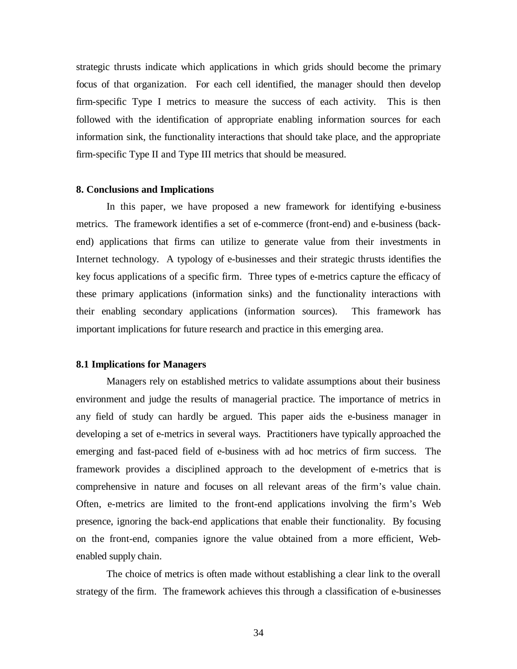strategic thrusts indicate which applications in which grids should become the primary focus of that organization. For each cell identified, the manager should then develop firm-specific Type I metrics to measure the success of each activity. This is then followed with the identification of appropriate enabling information sources for each information sink, the functionality interactions that should take place, and the appropriate firm-specific Type II and Type III metrics that should be measured.

#### **8. Conclusions and Implications**

In this paper, we have proposed a new framework for identifying e-business metrics. The framework identifies a set of e-commerce (front-end) and e-business (backend) applications that firms can utilize to generate value from their investments in Internet technology. A typology of e-businesses and their strategic thrusts identifies the key focus applications of a specific firm. Three types of e-metrics capture the efficacy of these primary applications (information sinks) and the functionality interactions with their enabling secondary applications (information sources). This framework has important implications for future research and practice in this emerging area.

## **8.1 Implications for Managers**

Managers rely on established metrics to validate assumptions about their business environment and judge the results of managerial practice. The importance of metrics in any field of study can hardly be argued. This paper aids the e-business manager in developing a set of e-metrics in several ways. Practitioners have typically approached the emerging and fast-paced field of e-business with ad hoc metrics of firm success. The framework provides a disciplined approach to the development of e-metrics that is comprehensive in nature and focuses on all relevant areas of the firm's value chain. Often, e-metrics are limited to the front-end applications involving the firm's Web presence, ignoring the back-end applications that enable their functionality. By focusing on the front-end, companies ignore the value obtained from a more efficient, Webenabled supply chain.

The choice of metrics is often made without establishing a clear link to the overall strategy of the firm. The framework achieves this through a classification of e-businesses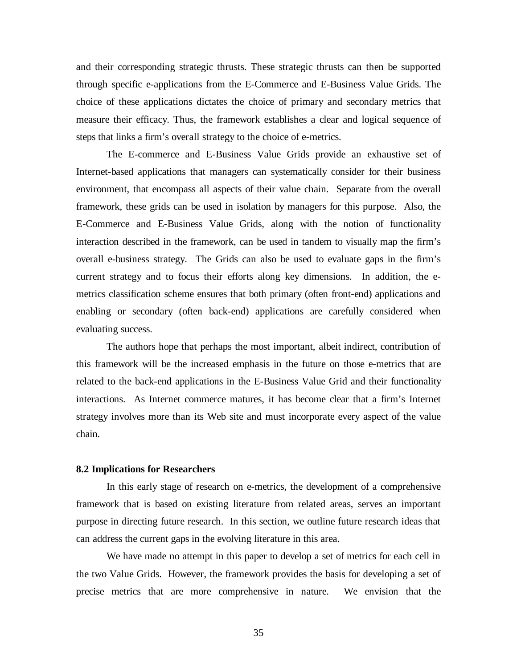and their corresponding strategic thrusts. These strategic thrusts can then be supported through specific e-applications from the E-Commerce and E-Business Value Grids. The choice of these applications dictates the choice of primary and secondary metrics that measure their efficacy. Thus, the framework establishes a clear and logical sequence of steps that links a firm's overall strategy to the choice of e-metrics.

The E-commerce and E-Business Value Grids provide an exhaustive set of Internet-based applications that managers can systematically consider for their business environment, that encompass all aspects of their value chain. Separate from the overall framework, these grids can be used in isolation by managers for this purpose. Also, the E-Commerce and E-Business Value Grids, along with the notion of functionality interaction described in the framework, can be used in tandem to visually map the firm's overall e-business strategy. The Grids can also be used to evaluate gaps in the firm's current strategy and to focus their efforts along key dimensions. In addition, the emetrics classification scheme ensures that both primary (often front-end) applications and enabling or secondary (often back-end) applications are carefully considered when evaluating success.

The authors hope that perhaps the most important, albeit indirect, contribution of this framework will be the increased emphasis in the future on those e-metrics that are related to the back-end applications in the E-Business Value Grid and their functionality interactions. As Internet commerce matures, it has become clear that a firm's Internet strategy involves more than its Web site and must incorporate every aspect of the value chain.

## **8.2 Implications for Researchers**

In this early stage of research on e-metrics, the development of a comprehensive framework that is based on existing literature from related areas, serves an important purpose in directing future research. In this section, we outline future research ideas that can address the current gaps in the evolving literature in this area.

We have made no attempt in this paper to develop a set of metrics for each cell in the two Value Grids. However, the framework provides the basis for developing a set of precise metrics that are more comprehensive in nature. We envision that the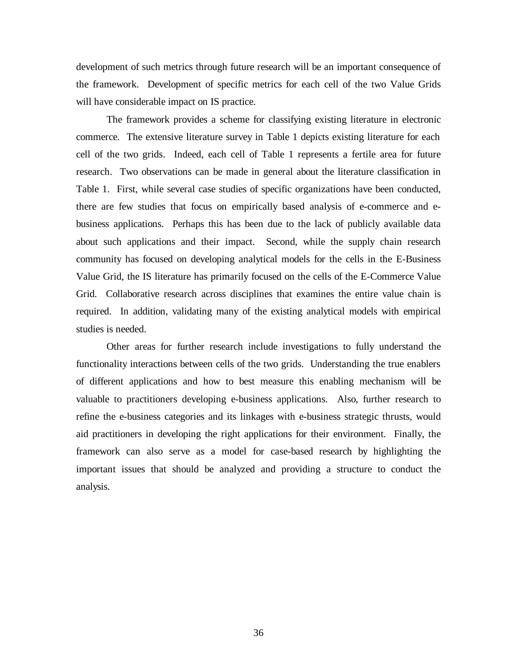development of such metrics through future research will be an important consequence of the framework. Development of specific metrics for each cell of the two Value Grids will have considerable impact on IS practice.

The framework provides a scheme for classifying existing literature in electronic commerce. The extensive literature survey in Table 1 depicts existing literature for each cell of the two grids. Indeed, each cell of Table 1 represents a fertile area for future research. Two observations can be made in general about the literature classification in Table 1. First, while several case studies of specific organizations have been conducted, there are few studies that focus on empirically based analysis of e-commerce and ebusiness applications. Perhaps this has been due to the lack of publicly available data about such applications and their impact. Second, while the supply chain research community has focused on developing analytical models for the cells in the E-Business Value Grid, the IS literature has primarily focused on the cells of the E-Commerce Value Grid. Collaborative research across disciplines that examines the entire value chain is required. In addition, validating many of the existing analytical models with empirical studies is needed.

Other areas for further research include investigations to fully understand the functionality interactions between cells of the two grids. Understanding the true enablers of different applications and how to best measure this enabling mechanism will be valuable to practitioners developing e-business applications. Also, further research to refine the e-business categories and its linkages with e-business strategic thrusts, would aid practitioners in developing the right applications for their environment. Finally, the framework can also serve as a model for case-based research by highlighting the important issues that should be analyzed and providing a structure to conduct the analysis.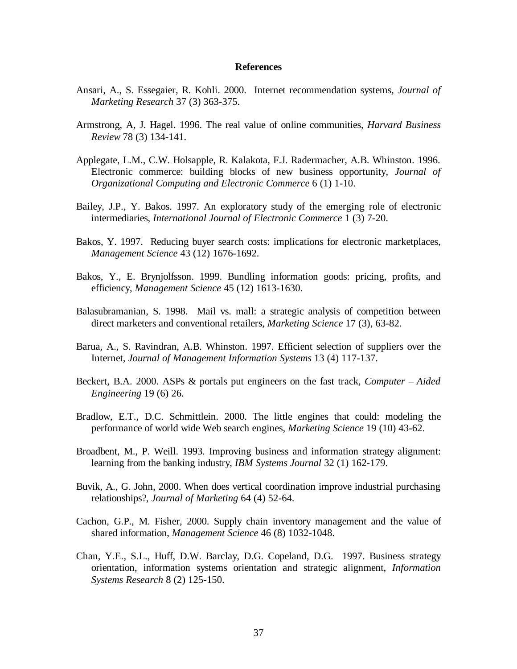#### **References**

- Ansari, A., S. Essegaier, R. Kohli. 2000. Internet recommendation systems, *Journal of Marketing Research* 37 (3) 363-375.
- Armstrong, A, J. Hagel. 1996. The real value of online communities, *Harvard Business Review* 78 (3) 134-141.
- Applegate, L.M., C.W. Holsapple, R. Kalakota, F.J. Radermacher, A.B. Whinston. 1996. Electronic commerce: building blocks of new business opportunity, *Journal of Organizational Computing and Electronic Commerce* 6 (1) 1-10.
- Bailey, J.P., Y. Bakos. 1997. An exploratory study of the emerging role of electronic intermediaries, *International Journal of Electronic Commerce* 1 (3) 7-20.
- Bakos, Y. 1997. Reducing buyer search costs: implications for electronic marketplaces, *Management Science* 43 (12) 1676-1692.
- Bakos, Y., E. Brynjolfsson. 1999. Bundling information goods: pricing, profits, and efficiency, *Management Science* 45 (12) 1613-1630.
- Balasubramanian, S. 1998. Mail vs. mall: a strategic analysis of competition between direct marketers and conventional retailers, *Marketing Science* 17 (3), 63-82.
- Barua, A., S. Ravindran, A.B. Whinston. 1997. Efficient selection of suppliers over the Internet, *Journal of Management Information Systems* 13 (4) 117-137.
- Beckert, B.A. 2000. ASPs & portals put engineers on the fast track, *Computer Aided Engineering* 19 (6) 26.
- Bradlow, E.T., D.C. Schmittlein. 2000. The little engines that could: modeling the performance of world wide Web search engines, *Marketing Science* 19 (10) 43-62.
- Broadbent, M., P. Weill. 1993. Improving business and information strategy alignment: learning from the banking industry, *IBM Systems Journal* 32 (1) 162-179.
- Buvik, A., G. John, 2000. When does vertical coordination improve industrial purchasing relationships?, *Journal of Marketing* 64 (4) 52-64.
- Cachon, G.P., M. Fisher, 2000. Supply chain inventory management and the value of shared information, *Management Science* 46 (8) 1032-1048.
- Chan, Y.E., S.L., Huff, D.W. Barclay, D.G. Copeland, D.G. 1997. Business strategy orientation, information systems orientation and strategic alignment, *Information Systems Research* 8 (2) 125-150.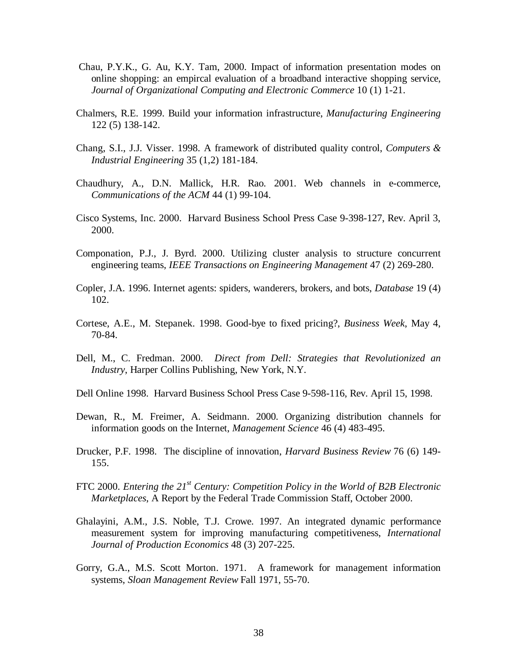- Chau, P.Y.K., G. Au, K.Y. Tam, 2000. Impact of information presentation modes on online shopping: an empircal evaluation of a broadband interactive shopping service, *Journal of Organizational Computing and Electronic Commerce* 10 (1) 1-21.
- Chalmers, R.E. 1999. Build your information infrastructure, *Manufacturing Engineering* 122 (5) 138-142.
- Chang, S.I., J.J. Visser. 1998. A framework of distributed quality control, *Computers & Industrial Engineering* 35 (1,2) 181-184.
- Chaudhury, A., D.N. Mallick, H.R. Rao. 2001. Web channels in e-commerce, *Communications of the ACM* 44 (1) 99-104.
- Cisco Systems, Inc. 2000. Harvard Business School Press Case 9-398-127, Rev. April 3, 2000.
- Componation, P.J., J. Byrd. 2000. Utilizing cluster analysis to structure concurrent engineering teams, *IEEE Transactions on Engineering Management* 47 (2) 269-280.
- Copler, J.A. 1996. Internet agents: spiders, wanderers, brokers, and bots, *Database* 19 (4) 102.
- Cortese, A.E., M. Stepanek. 1998. Good-bye to fixed pricing?, *Business Week*, May 4, 70-84.
- Dell, M., C. Fredman. 2000. *Direct from Dell: Strategies that Revolutionized an Industry*, Harper Collins Publishing, New York, N.Y.
- Dell Online 1998. Harvard Business School Press Case 9-598-116, Rev. April 15, 1998.
- Dewan, R., M. Freimer, A. Seidmann. 2000. Organizing distribution channels for information goods on the Internet, *Management Science* 46 (4) 483-495.
- Drucker, P.F. 1998. The discipline of innovation, *Harvard Business Review* 76 (6) 149- 155.
- FTC 2000. *Entering the 21st Century: Competition Policy in the World of B2B Electronic Marketplaces*, A Report by the Federal Trade Commission Staff, October 2000.
- Ghalayini, A.M., J.S. Noble, T.J. Crowe. 1997. An integrated dynamic performance measurement system for improving manufacturing competitiveness, *International Journal of Production Economics* 48 (3) 207-225.
- Gorry, G.A., M.S. Scott Morton. 1971. A framework for management information systems, *Sloan Management Review* Fall 1971, 55-70.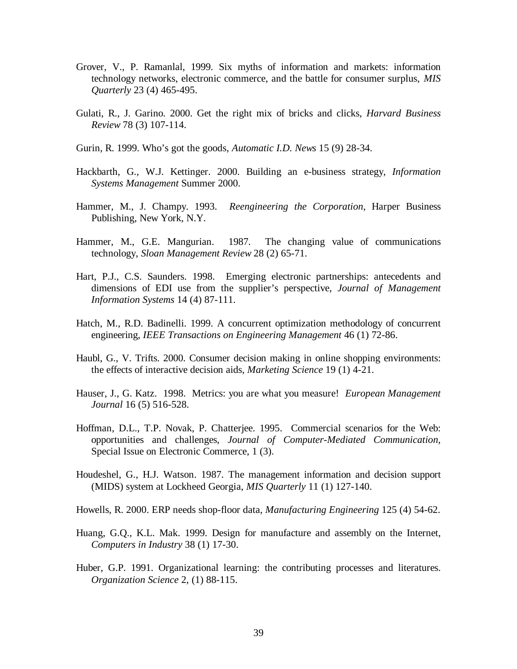- Grover, V., P. Ramanlal, 1999. Six myths of information and markets: information technology networks, electronic commerce, and the battle for consumer surplus, *MIS Quarterly* 23 (4) 465-495.
- Gulati, R., J. Garino. 2000. Get the right mix of bricks and clicks, *Harvard Business Review* 78 (3) 107-114.
- Gurin, R. 1999. Who's got the goods, *Automatic I.D. News* 15 (9) 28-34.
- Hackbarth, G., W.J. Kettinger. 2000. Building an e-business strategy, *Information Systems Management* Summer 2000.
- Hammer, M., J. Champy. 1993. *Reengineering the Corporation*, Harper Business Publishing, New York, N.Y.
- Hammer, M., G.E. Mangurian. 1987. The changing value of communications technology, *Sloan Management Review* 28 (2) 65-71.
- Hart, P.J., C.S. Saunders. 1998. Emerging electronic partnerships: antecedents and dimensions of EDI use from the supplier's perspective, *Journal of Management Information Systems* 14 (4) 87-111.
- Hatch, M., R.D. Badinelli. 1999. A concurrent optimization methodology of concurrent engineering, *IEEE Transactions on Engineering Management* 46 (1) 72-86.
- Haubl, G., V. Trifts. 2000. Consumer decision making in online shopping environments: the effects of interactive decision aids, *Marketing Science* 19 (1) 4-21.
- Hauser, J., G. Katz. 1998. Metrics: you are what you measure! *European Management Journal* 16 (5) 516-528.
- Hoffman, D.L., T.P. Novak, P. Chatterjee. 1995. Commercial scenarios for the Web: opportunities and challenges, *Journal of Computer-Mediated Communication*, Special Issue on Electronic Commerce, 1 (3).
- Houdeshel, G., H.J. Watson. 1987. The management information and decision support (MIDS) system at Lockheed Georgia, *MIS Quarterly* 11 (1) 127-140.
- Howells, R. 2000. ERP needs shop-floor data, *Manufacturing Engineering* 125 (4) 54-62.
- Huang, G.Q., K.L. Mak. 1999. Design for manufacture and assembly on the Internet, *Computers in Industry* 38 (1) 17-30.
- Huber, G.P. 1991. Organizational learning: the contributing processes and literatures. *Organization Science* 2, (1) 88-115.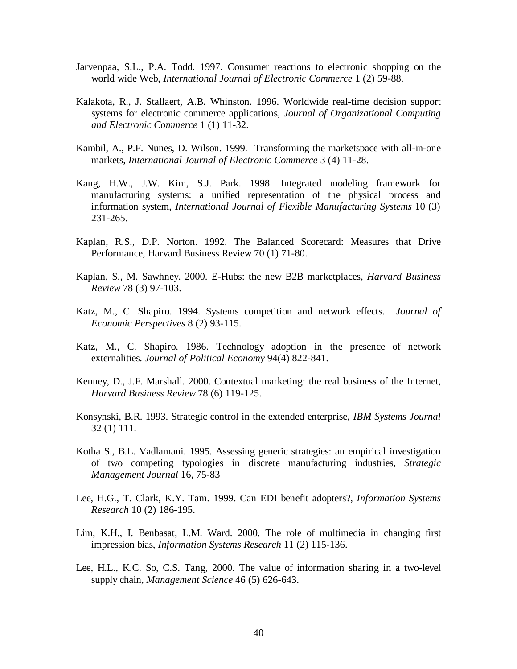- Jarvenpaa, S.L., P.A. Todd. 1997. Consumer reactions to electronic shopping on the world wide Web, *International Journal of Electronic Commerce* 1 (2) 59-88.
- Kalakota, R., J. Stallaert, A.B. Whinston. 1996. Worldwide real-time decision support systems for electronic commerce applications, *Journal of Organizational Computing and Electronic Commerce* 1 (1) 11-32.
- Kambil, A., P.F. Nunes, D. Wilson. 1999. Transforming the marketspace with all-in-one markets, *International Journal of Electronic Commerce* 3 (4) 11-28.
- Kang, H.W., J.W. Kim, S.J. Park. 1998. Integrated modeling framework for manufacturing systems: a unified representation of the physical process and information system, *International Journal of Flexible Manufacturing Systems* 10 (3) 231-265.
- Kaplan, R.S., D.P. Norton. 1992. The Balanced Scorecard: Measures that Drive Performance, Harvard Business Review 70 (1) 71-80.
- Kaplan, S., M. Sawhney. 2000. E-Hubs: the new B2B marketplaces, *Harvard Business Review* 78 (3) 97-103.
- Katz, M., C. Shapiro. 1994. Systems competition and network effects. *Journal of Economic Perspectives* 8 (2) 93-115.
- Katz, M., C. Shapiro. 1986. Technology adoption in the presence of network externalities. *Journal of Political Economy* 94(4) 822-841.
- Kenney, D., J.F. Marshall. 2000. Contextual marketing: the real business of the Internet, *Harvard Business Review* 78 (6) 119-125.
- Konsynski, B.R. 1993. Strategic control in the extended enterprise, *IBM Systems Journal* 32 (1) 111.
- Kotha S., B.L. Vadlamani. 1995. Assessing generic strategies: an empirical investigation of two competing typologies in discrete manufacturing industries, *Strategic Management Journal* 16, 75-83
- Lee, H.G., T. Clark, K.Y. Tam. 1999. Can EDI benefit adopters?, *Information Systems Research* 10 (2) 186-195.
- Lim, K.H., I. Benbasat, L.M. Ward. 2000. The role of multimedia in changing first impression bias, *Information Systems Research* 11 (2) 115-136.
- Lee, H.L., K.C. So, C.S. Tang, 2000. The value of information sharing in a two-level supply chain, *Management Science* 46 (5) 626-643.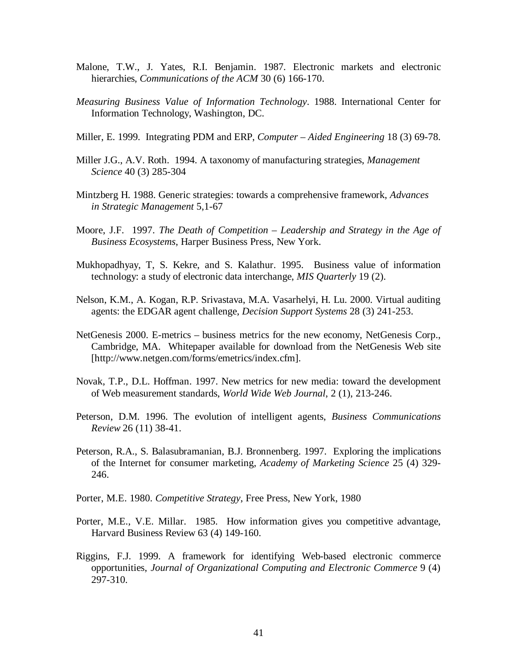- Malone, T.W., J. Yates, R.I. Benjamin. 1987. Electronic markets and electronic hierarchies, *Communications of the ACM* 30 (6) 166-170.
- *Measuring Business Value of Information Technology*. 1988. International Center for Information Technology, Washington, DC.
- Miller, E. 1999. Integrating PDM and ERP, *Computer Aided Engineering* 18 (3) 69-78.
- Miller J.G., A.V. Roth. 1994. A taxonomy of manufacturing strategies, *Management Science* 40 (3) 285-304
- Mintzberg H. 1988. Generic strategies: towards a comprehensive framework, *Advances in Strategic Management* 5,1-67
- Moore, J.F. 1997. *The Death of Competition Leadership and Strategy in the Age of Business Ecosystems*, Harper Business Press, New York.
- Mukhopadhyay, T, S. Kekre, and S. Kalathur. 1995. Business value of information technology: a study of electronic data interchange, *MIS Quarterly* 19 (2).
- Nelson, K.M., A. Kogan, R.P. Srivastava, M.A. Vasarhelyi, H. Lu. 2000. Virtual auditing agents: the EDGAR agent challenge, *Decision Support Systems* 28 (3) 241-253.
- NetGenesis 2000. E-metrics business metrics for the new economy, NetGenesis Corp., Cambridge, MA. Whitepaper available for download from the NetGenesis Web site [http://www.netgen.com/forms/emetrics/index.cfm].
- Novak, T.P., D.L. Hoffman. 1997. New metrics for new media: toward the development of Web measurement standards, *World Wide Web Journal*, 2 (1), 213-246.
- Peterson, D.M. 1996. The evolution of intelligent agents, *Business Communications Review* 26 (11) 38-41.
- Peterson, R.A., S. Balasubramanian, B.J. Bronnenberg. 1997. Exploring the implications of the Internet for consumer marketing, *Academy of Marketing Science* 25 (4) 329- 246.
- Porter, M.E. 1980. *Competitive Strategy*, Free Press, New York, 1980
- Porter, M.E., V.E. Millar. 1985. How information gives you competitive advantage, Harvard Business Review 63 (4) 149-160.
- Riggins, F.J. 1999. A framework for identifying Web-based electronic commerce opportunities, *Journal of Organizational Computing and Electronic Commerce* 9 (4) 297-310.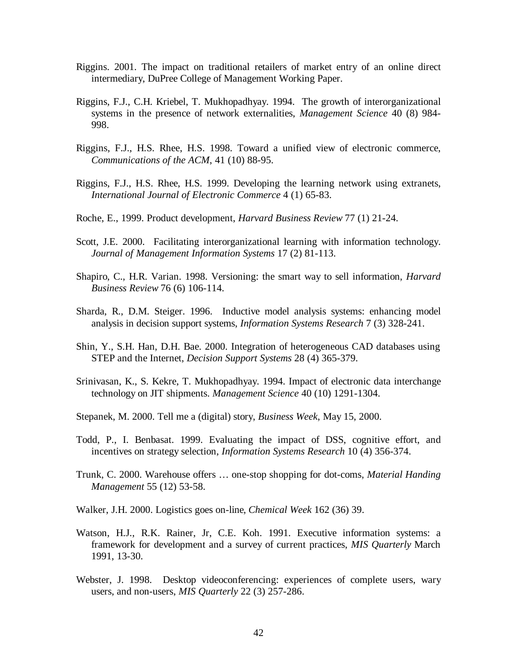- Riggins. 2001. The impact on traditional retailers of market entry of an online direct intermediary, DuPree College of Management Working Paper.
- Riggins, F.J., C.H. Kriebel, T. Mukhopadhyay. 1994. The growth of interorganizational systems in the presence of network externalities, *Management Science* 40 (8) 984- 998.
- Riggins, F.J., H.S. Rhee, H.S. 1998. Toward a unified view of electronic commerce, *Communications of the ACM*, 41 (10) 88-95.
- Riggins, F.J., H.S. Rhee, H.S. 1999. Developing the learning network using extranets, *International Journal of Electronic Commerce* 4 (1) 65-83.
- Roche, E., 1999. Product development, *Harvard Business Review* 77 (1) 21-24.
- Scott, J.E. 2000. Facilitating interorganizational learning with information technology. *Journal of Management Information Systems* 17 (2) 81-113.
- Shapiro, C., H.R. Varian. 1998. Versioning: the smart way to sell information, *Harvard Business Review* 76 (6) 106-114.
- Sharda, R., D.M. Steiger. 1996. Inductive model analysis systems: enhancing model analysis in decision support systems, *Information Systems Research* 7 (3) 328-241.
- Shin, Y., S.H. Han, D.H. Bae. 2000. Integration of heterogeneous CAD databases using STEP and the Internet, *Decision Support Systems* 28 (4) 365-379.
- Srinivasan, K., S. Kekre, T. Mukhopadhyay. 1994. Impact of electronic data interchange technology on JIT shipments. *Management Science* 40 (10) 1291-1304.
- Stepanek, M. 2000. Tell me a (digital) story, *Business Week*, May 15, 2000.
- Todd, P., I. Benbasat. 1999. Evaluating the impact of DSS, cognitive effort, and incentives on strategy selection, *Information Systems Research* 10 (4) 356-374.
- Trunk, C. 2000. Warehouse offers … one-stop shopping for dot-coms, *Material Handing Management* 55 (12) 53-58.
- Walker, J.H. 2000. Logistics goes on-line, *Chemical Week* 162 (36) 39.
- Watson, H.J., R.K. Rainer, Jr, C.E. Koh. 1991. Executive information systems: a framework for development and a survey of current practices, *MIS Quarterly* March 1991, 13-30.
- Webster, J. 1998. Desktop videoconferencing: experiences of complete users, wary users, and non-users, *MIS Quarterly* 22 (3) 257-286.